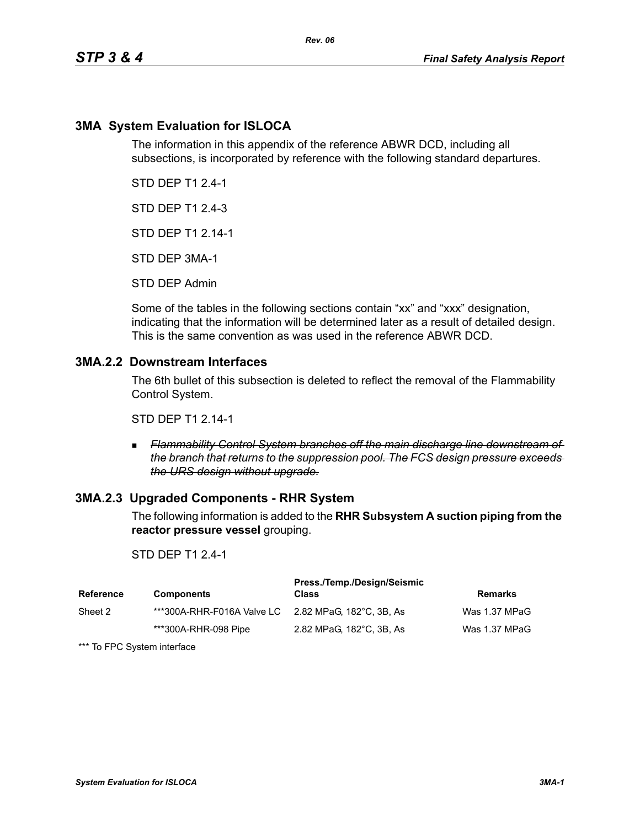# **3MA System Evaluation for ISLOCA**

The information in this appendix of the reference ABWR DCD, including all subsections, is incorporated by reference with the following standard departures.

STD DEP T1 2.4-1

STD DEP T1 2.4-3

STD DEP T1 2.14-1

STD DEP 3MA-1

STD DEP Admin

Some of the tables in the following sections contain "xx" and "xxx" designation, indicating that the information will be determined later as a result of detailed design. This is the same convention as was used in the reference ABWR DCD.

# **3MA.2.2 Downstream Interfaces**

The 6th bullet of this subsection is deleted to reflect the removal of the Flammability Control System.

STD DEP T1 2.14-1

 *Flammability Control System branches off the main discharge line downstream of the branch that returns to the suppression pool. The FCS design pressure exceeds the URS design without upgrade.*

## **3MA.2.3 Upgraded Components - RHR System**

The following information is added to the **RHR Subsystem A suction piping from the reactor pressure vessel** grouping.

### STD DEP T1 2.4-1

| Reference | <b>Components</b>                                   | Press./Temp./Design/Seismic<br><b>Class</b> | Remarks       |
|-----------|-----------------------------------------------------|---------------------------------------------|---------------|
| Sheet 2   | ***300A-RHR-F016A Valve LC 2.82 MPaG. 182°C. 3B. As |                                             | Was 1.37 MPaG |
|           | ***300A-RHR-098 Pipe                                | 2.82 MPaG, 182°C, 3B, As                    | Was 1.37 MPaG |

\*\*\* To FPC System interface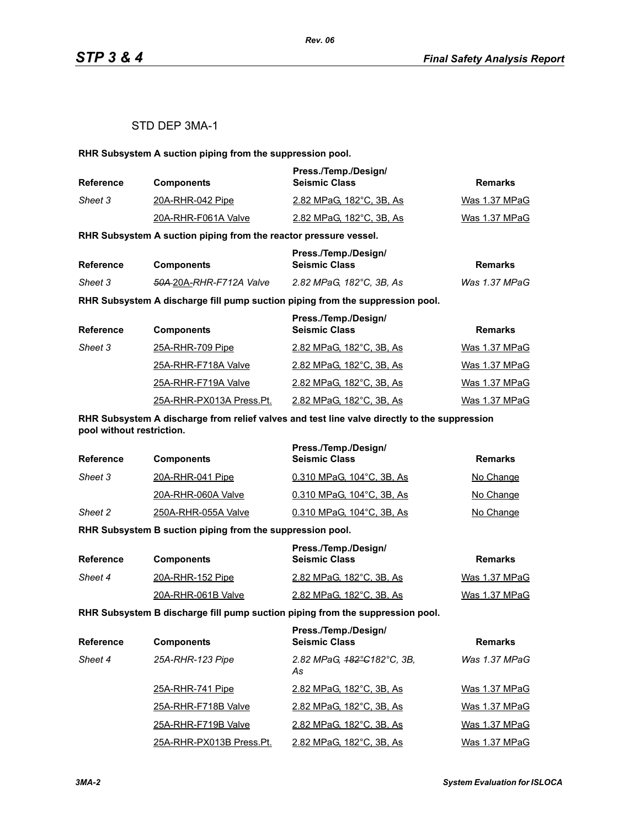## STD DEP 3MA-1

**RHR Subsystem A suction piping from the suppression pool.**

| <b>Reference</b> | <b>Components</b>   | Press./Temp./Design/<br><b>Seismic Class</b> | Remarks       |
|------------------|---------------------|----------------------------------------------|---------------|
| Sheet 3          | 20A-RHR-042 Pipe    | 2.82 MPaG. 182°C. 3B. As                     | Was 1.37 MPaG |
|                  | 20A-RHR-F061A Valve | 2.82 MPaG, 182°C, 3B, As                     | Was 1.37 MPaG |

**RHR Subsystem A suction piping from the reactor pressure vessel.**

| Reference |                                     | Press./Temp./Design/     |               |
|-----------|-------------------------------------|--------------------------|---------------|
|           | <b>Components</b>                   | <b>Seismic Class</b>     | Remarks       |
| Sheet 3   | <del>50A 2</del> 0A-RHR-F712A Valve | 2.82 MPaG. 182°C. 3B. As | Was 1.37 MPaG |

**RHR Subsystem A discharge fill pump suction piping from the suppression pool.**

| <b>Reference</b> | <b>Components</b>        | Press./Temp./Design/<br><b>Seismic Class</b> | <b>Remarks</b> |
|------------------|--------------------------|----------------------------------------------|----------------|
| Sheet 3          | 25A-RHR-709 Pipe         | 2.82 MPaG, 182°C, 3B, As                     | Was 1.37 MPaG  |
|                  | 25A-RHR-F718A Valve      | 2.82 MPaG, 182°C, 3B, As                     | Was 1.37 MPaG  |
|                  | 25A-RHR-F719A Valve      | 2.82 MPaG, 182°C, 3B, As                     | Was 1.37 MPaG  |
|                  | 25A-RHR-PX013A Press.Pt. | 2.82 MPaG, 182°C, 3B, As                     | Was 1.37 MPaG  |

**RHR Subsystem A discharge from relief valves and test line valve directly to the suppression pool without restriction.**

| <b>Reference</b> | <b>Components</b>   | Press./Temp./Design/<br><b>Seismic Class</b> | Remarks   |
|------------------|---------------------|----------------------------------------------|-----------|
| Sheet 3          | 20A-RHR-041 Pipe    | 0.310 MPaG, 104°C, 3B, As                    | No Change |
|                  | 20A-RHR-060A Valve  | 0.310 MPaG, 104°C, 3B, As                    | No Change |
| Sheet 2          | 250A-RHR-055A Valve | 0.310 MPaG, 104°C, 3B, As                    | No Change |

**RHR Subsystem B suction piping from the suppression pool.**

| Reference | <b>Components</b>  | Press./Temp./Design/<br><b>Seismic Class</b> | Remarks       |
|-----------|--------------------|----------------------------------------------|---------------|
| Sheet 4   | 20A-RHR-152 Pipe   | 2.82 MPaG, 182°C, 3B, As                     | Was 1.37 MPaG |
|           | 20A-RHR-061B Valve | 2.82 MPaG, 182°C, 3B, As                     | Was 1.37 MPaG |

**RHR Subsystem B discharge fill pump suction piping from the suppression pool.**

| <b>Reference</b> | <b>Components</b>        | Press./Temp./Design/<br><b>Seismic Class</b> | <b>Remarks</b> |
|------------------|--------------------------|----------------------------------------------|----------------|
| Sheet 4          | 25A-RHR-123 Pipe         | 2.82 MPaG, 182°C182°C, 3B,<br>As             | Was 1.37 MPaG  |
|                  | 25A-RHR-741 Pipe         | 2.82 MPaG, 182°C, 3B, As                     | Was 1.37 MPaG  |
|                  | 25A-RHR-F718B Valve      | 2.82 MPaG, 182°C, 3B, As                     | Was 1.37 MPaG  |
|                  | 25A-RHR-F719B Valve      | 2.82 MPaG, 182°C, 3B, As                     | Was 1.37 MPaG  |
|                  | 25A-RHR-PX013B Press.Pt. | 2.82 MPaG, 182°C, 3B, As                     | Was 1.37 MPaG  |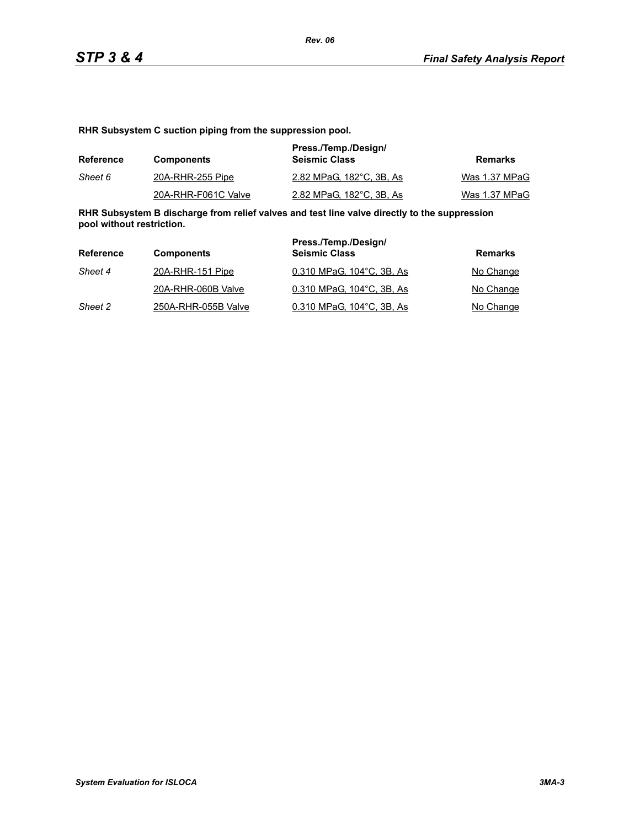**RHR Subsystem C suction piping from the suppression pool.**

| Reference | <b>Components</b>   | Press./Temp./Design/<br><b>Seismic Class</b> | Remarks       |
|-----------|---------------------|----------------------------------------------|---------------|
| Sheet 6   | 20A-RHR-255 Pipe    | 2.82 MPaG, 182°C, 3B, As                     | Was 1.37 MPaG |
|           | 20A-RHR-F061C Valve | 2.82 MPaG. 182°C. 3B. As                     | Was 1.37 MPaG |

**RHR Subsystem B discharge from relief valves and test line valve directly to the suppression pool without restriction.**

| Reference | <b>Components</b>   | Press./Temp./Design/<br><b>Seismic Class</b> | Remarks   |
|-----------|---------------------|----------------------------------------------|-----------|
| Sheet 4   | 20A-RHR-151 Pipe    | 0.310 MPaG, 104°C, 3B, As                    | No Change |
|           | 20A-RHR-060B Valve  | 0.310 MPaG, 104°C, 3B, As                    | No Change |
| Sheet 2   | 250A-RHR-055B Valve | 0.310 MPaG, 104°C, 3B, As                    | No Change |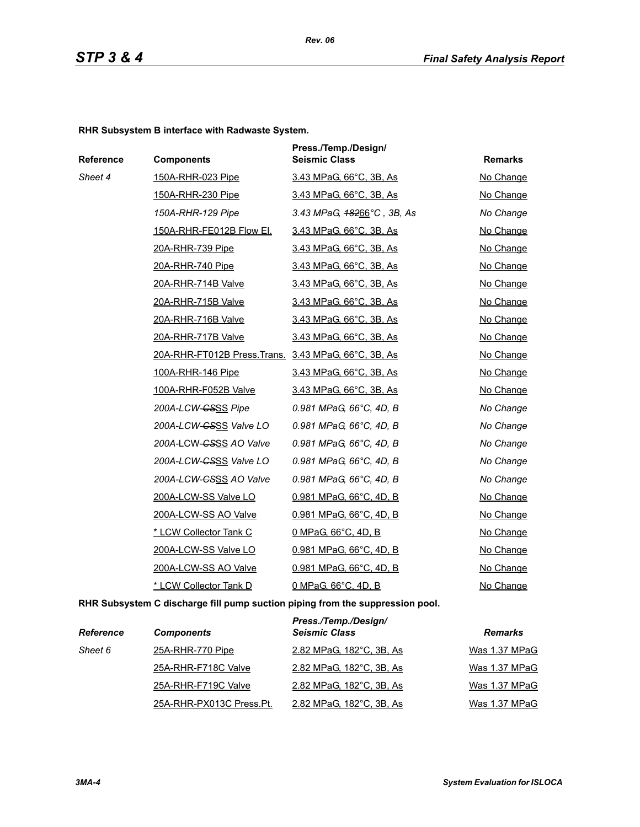**RHR Subsystem B interface with Radwaste System.**

| Reference | <b>Components</b>                                   | Press./Temp./Design/<br><b>Seismic Class</b> | <b>Remarks</b> |
|-----------|-----------------------------------------------------|----------------------------------------------|----------------|
| Sheet 4   | 150A-RHR-023 Pipe                                   | 3.43 MPaG, 66°C, 3B, As                      | No Change      |
|           | 150A-RHR-230 Pipe                                   | 3.43 MPaG, 66°C, 3B, As                      | No Change      |
|           | 150A-RHR-129 Pipe                                   | 3.43 MPaG, $48266^{\circ}$ C, 3B, As         | No Change      |
|           | 150A-RHR-FE012B Flow El.                            | 3.43 MPaG, 66°C, 3B, As                      | No Change      |
|           | 20A-RHR-739 Pipe                                    | 3.43 MPaG, 66°C, 3B, As                      | No Change      |
|           | 20A-RHR-740 Pipe                                    | 3.43 MPaG, 66°C, 3B, As                      | No Change      |
|           | <b>20A-RHR-714B Valve</b>                           | <u>3.43 MPaG, 66°C, 3B, As</u>               | No Change      |
|           | 20A-RHR-715B Valve                                  | 3.43 MPaG, 66°C, 3B, As                      | No Change      |
|           | 20A-RHR-716B Valve                                  | 3.43 MPaG, 66°C, 3B, As                      | No Change      |
|           | 20A-RHR-717B Valve                                  | 3.43 MPaG, 66°C, 3B, As                      | No Change      |
|           | 20A-RHR-FT012B Press.Trans. 3.43 MPaG, 66°C, 3B, As |                                              | No Change      |
|           | 100A-RHR-146 Pipe                                   | 3.43 MPaG, 66°C, 3B, As                      | No Change      |
|           | 100A-RHR-F052B Valve                                | 3.43 MPaG, 66°C, 3B, As                      | No Change      |
|           | 200A-LCW- <del>CSSS</del> Pipe                      | 0.981 MPaG, 66°C, 4D, B                      | No Change      |
|           | 200A-LCW-GSSS Valve LO                              | 0.981 MPaG, 66°C, 4D, B                      | No Change      |
|           | 200A-LCW-CSSS AO Valve                              | 0.981 MPaG, 66°C, 4D, B                      | No Change      |
|           | 200A-LCW-CSSS Valve LO                              | 0.981 MPaG, 66°C, 4D, B                      | No Change      |
|           | 200A-LCW-CSSS AO Valve                              | 0.981 MPaG, 66°C, 4D, B                      | No Change      |
|           | 200A-LCW-SS Valve LO                                | 0.981 MPaG, 66°C, 4D, B                      | No Change      |
|           | 200A-LCW-SS AO Valve                                | 0.981 MPaG, 66°C, 4D, B                      | No Change      |
|           | * LCW Collector Tank C                              | 0 MPaG, 66°C, 4D, B                          | No Change      |
|           | 200A-LCW-SS Valve LO                                | 0.981 MPaG, 66°C, 4D, B                      | No Change      |
|           | 200A-LCW-SS AO Valve                                | 0.981 MPaG, 66°C, 4D, B                      | No Change      |
|           | * LCW Collector Tank D                              | 0 MPaG, 66°C, 4D, B                          | No Change      |

**RHR Subsystem C discharge fill pump suction piping from the suppression pool.**

| <b>Reference</b> | <b>Components</b>        | Press./Temp./Design/<br><b>Seismic Class</b> | <b>Remarks</b> |
|------------------|--------------------------|----------------------------------------------|----------------|
| Sheet 6          | 25A-RHR-770 Pipe         | 2.82 MPaG, 182°C, 3B, As                     | Was 1.37 MPaG  |
|                  | 25A-RHR-F718C Valve      | 2.82 MPaG, 182°C, 3B, As                     | Was 1.37 MPaG  |
|                  | 25A-RHR-F719C Valve      | 2.82 MPaG, 182°C, 3B, As                     | Was 1.37 MPaG  |
|                  | 25A-RHR-PX013C Press.Pt. | 2.82 MPaG, 182°C, 3B, As                     | Was 1.37 MPaG  |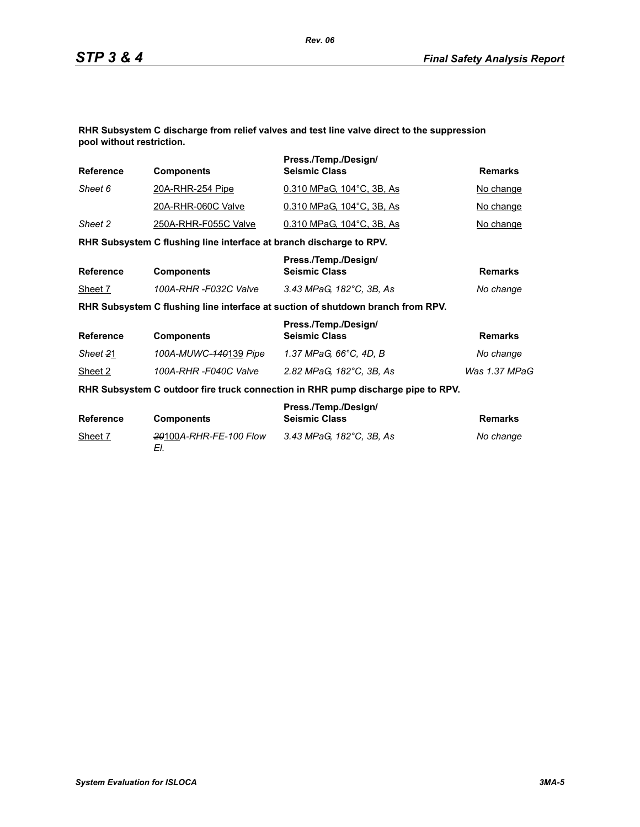**RHR Subsystem C discharge from relief valves and test line valve direct to the suppression pool without restriction.**

| <b>Reference</b> | <b>Components</b>                                                   | Press./Temp./Design/<br><b>Seismic Class</b>                                     | <b>Remarks</b> |
|------------------|---------------------------------------------------------------------|----------------------------------------------------------------------------------|----------------|
| Sheet 6          | <u>20A-RHR-254 Pipe</u>                                             | 0.310 MPaG, 104°C, 3B, As                                                        | No change      |
|                  | 20A-RHR-060C Valve                                                  | 0.310 MPaG, 104°C, 3B, As                                                        | No change      |
| Sheet 2          | 250A-RHR-F055C Valve                                                | 0.310 MPaG, 104°C, 3B, As                                                        | No change      |
|                  | RHR Subsystem C flushing line interface at branch discharge to RPV. |                                                                                  |                |
| <b>Reference</b> | <b>Components</b>                                                   | Press./Temp./Design/<br><b>Seismic Class</b>                                     | <b>Remarks</b> |
| Sheet 7          | 100A-RHR -F032C Valve                                               | 3.43 MPaG, 182°C, 3B, As                                                         | No change      |
|                  |                                                                     | RHR Subsystem C flushing line interface at suction of shutdown branch from RPV.  |                |
| <b>Reference</b> | <b>Components</b>                                                   | Press./Temp./Design/<br><b>Seismic Class</b>                                     | <b>Remarks</b> |
| Sheet 21         | 100A-MUWC-140139 Pipe                                               | 1.37 MPaG, 66°C, 4D, B                                                           | No change      |
| Sheet 2          | 100A-RHR-F040C Valve                                                | 2.82 MPaG, 182°C, 3B, As                                                         | Was 1.37 MPaG  |
|                  |                                                                     | RHR Subsystem C outdoor fire truck connection in RHR pump discharge pipe to RPV. |                |
| <b>Reference</b> | <b>Components</b>                                                   | Press./Temp./Design/<br><b>Seismic Class</b>                                     | <b>Remarks</b> |
| Sheet 7          | 20100A-RHR-FE-100 Flow<br>EI.                                       | 3.43 MPaG, 182°C, 3B, As                                                         | No change      |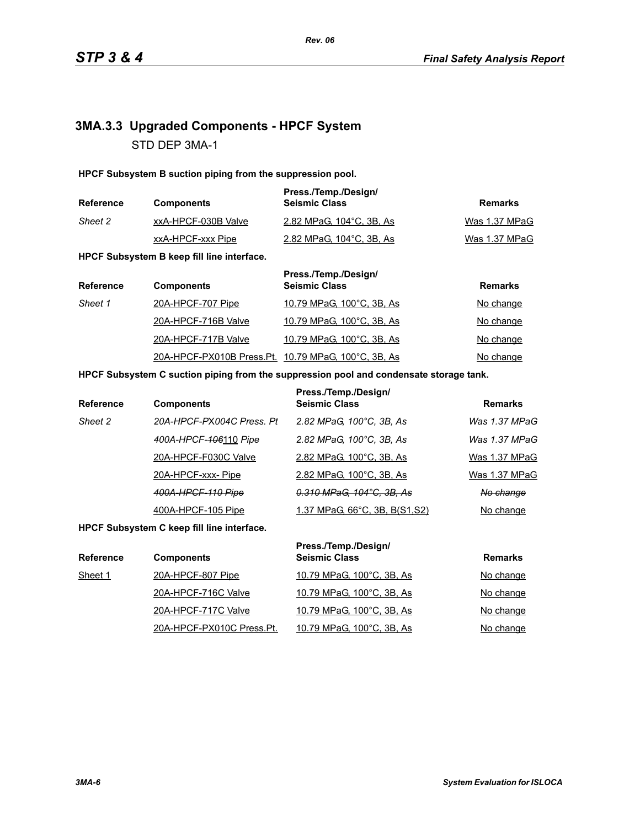# **3MA.3.3 Upgraded Components - HPCF System** STD DEP 3MA-1

**HPCF Subsystem B suction piping from the suppression pool.**

| <b>Reference</b> | <b>Components</b>   | Press./Temp./Design/<br><b>Seismic Class</b> | Remarks       |
|------------------|---------------------|----------------------------------------------|---------------|
| Sheet 2          | xxA-HPCF-030B Valve | 2.82 MPaG, 104°C, 3B, As                     | Was 1.37 MPaG |
|                  | xxA-HPCF-xxx Pipe   | 2.82 MPaG, 104 °C, 3B, As                    | Was 1.37 MPaG |

**HPCF Subsystem B keep fill line interface.**

| <b>Reference</b> | <b>Components</b>                                    | Press./Temp./Design/<br><b>Seismic Class</b> | <b>Remarks</b> |
|------------------|------------------------------------------------------|----------------------------------------------|----------------|
| Sheet 1          | 20A-HPCF-707 Pipe                                    | 10.79 MPaG, 100°C, 3B, As                    | No change      |
|                  | 20A-HPCF-716B Valve                                  | 10.79 MPaG, 100°C, 3B, As                    | No change      |
|                  | 20A-HPCF-717B Valve                                  | 10.79 MPaG, 100°C, 3B, As                    | No change      |
|                  | 20A-HPCF-PX010B Press. Pt. 10.79 MPaG, 100°C, 3B, As |                                              | No change      |

### **HPCF Subsystem C suction piping from the suppression pool and condensate storage tank.**

| <b>Reference</b> | <b>Components</b>         | Press./Temp./Design/<br><b>Seismic Class</b> | <b>Remarks</b> |
|------------------|---------------------------|----------------------------------------------|----------------|
| Sheet 2          | 20A-HPCF-PX004C Press, Pt | 2.82 MPaG, 100°C, 3B, As                     | Was 1.37 MPaG  |
|                  | 400A-HPCF-406110 Pipe     | 2.82 MPaG, 100°C, 3B, As                     | Was 1.37 MPaG  |
|                  | 20A-HPCF-F030C Valve      | 2.82 MPaG, 100°C, 3B, As                     | Was 1.37 MPaG  |
|                  | 20A-HPCF-xxx-Pipe         | 2.82 MPaG, 100°C, 3B, As                     | Was 1.37 MPaG  |
|                  | 400A-HPCF-110 Pipe        | 0.310 MPaG, 104°C, 3B, As                    | No change      |
|                  | 400A-HPCF-105 Pipe        | <u>1.37 MPaG, 66°C, 3B, B(S1,S2)</u>         | No change      |

**HPCF Subsystem C keep fill line interface.**

| <b>Reference</b> | <b>Components</b>         | Press./Temp./Design/<br><b>Seismic Class</b> | <b>Remarks</b> |
|------------------|---------------------------|----------------------------------------------|----------------|
| Sheet 1          | 20A-HPCF-807 Pipe         | 10.79 MPaG, 100°C, 3B, As                    | No change      |
|                  | 20A-HPCF-716C Valve       | 10.79 MPaG, 100°C, 3B, As                    | No change      |
|                  | 20A-HPCF-717C Valve       | 10.79 MPaG, 100°C, 3B, As                    | No change      |
|                  | 20A-HPCF-PX010C Press.Pt. | 10.79 MPaG, 100°C, 3B, As                    | No change      |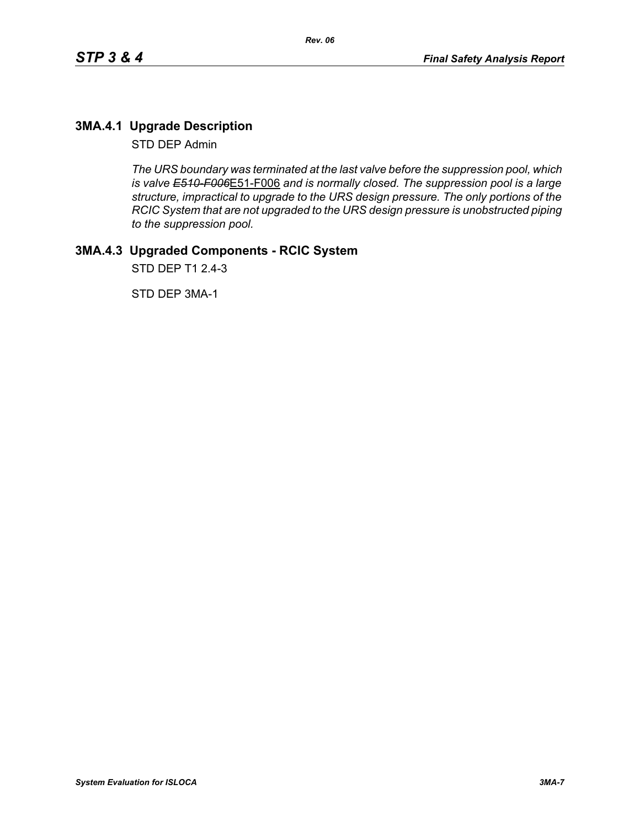# **3MA.4.1 Upgrade Description**

STD DEP Admin

*The URS boundary was terminated at the last valve before the suppression pool, which is valve E510-F006*E51-F006 *and is normally closed. The suppression pool is a large structure, impractical to upgrade to the URS design pressure. The only portions of the RCIC System that are not upgraded to the URS design pressure is unobstructed piping to the suppression pool.*

# **3MA.4.3 Upgraded Components - RCIC System**

STD DEP T1 2.4-3

STD DEP 3MA-1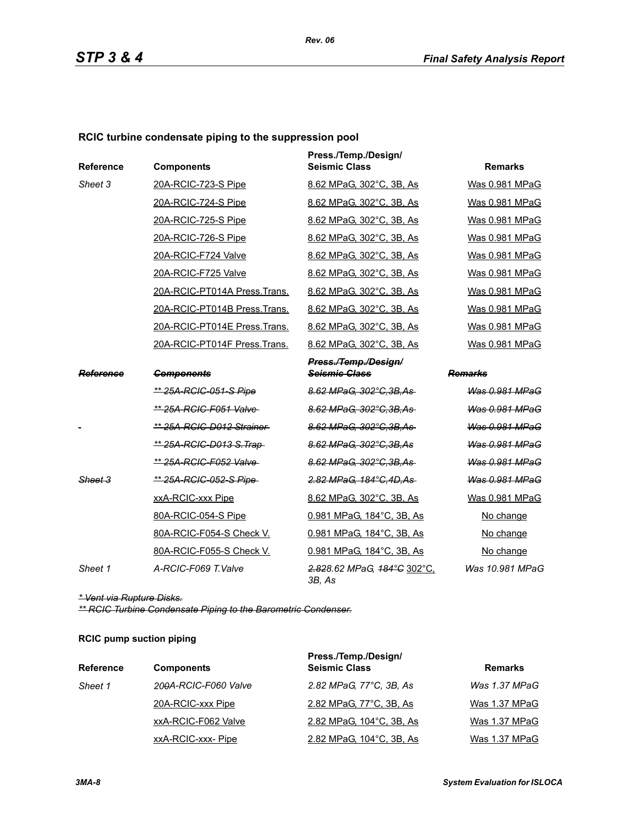# **RCIC turbine condensate piping to the suppression pool**

| <b>Reference</b> | <b>Components</b>               | Press./Temp./Design/<br><b>Seismic Class</b> | <b>Remarks</b>        |
|------------------|---------------------------------|----------------------------------------------|-----------------------|
| Sheet 3          | 20A-RCIC-723-S Pipe             | 8.62 MPaG, 302°C, 3B, As                     | Was 0.981 MPaG        |
|                  | 20A-RCIC-724-S Pipe             | 8.62 MPaG, 302°C, 3B, As                     | Was 0.981 MPaG        |
|                  | 20A-RCIC-725-S Pipe             | 8.62 MPaG. 302°C. 3B. As                     | Was 0.981 MPaG        |
|                  | 20A-RCIC-726-S Pipe             | 8.62 MPaG, 302°C, 3B, As                     | Was 0.981 MPaG        |
|                  | 20A-RCIC-F724 Valve             | 8.62 MPaG, 302°C, 3B, As                     | Was 0.981 MPaG        |
|                  | 20A-RCIC-F725 Valve             | 8.62 MPaG, 302°C, 3B, As                     | Was 0.981 MPaG        |
|                  | 20A-RCIC-PT014A Press. Trans.   | 8.62 MPaG, 302°C, 3B, As                     | Was 0.981 MPaG        |
|                  | 20A-RCIC-PT014B Press.Trans.    | 8.62 MPaG, 302°C, 3B, As                     | Was 0.981 MPaG        |
|                  | 20A-RCIC-PT014E Press.Trans.    | 8.62 MPaG, 302°C, 3B, As                     | Was 0.981 MPaG        |
|                  | 20A-RCIC-PT014F Press.Trans.    | 8.62 MPaG, 302°C, 3B, As                     | Was 0.981 MPaG        |
|                  |                                 | Press./Temp./Design/                         |                       |
| Reference        | <b>Components</b>               | <b>Seismic Class</b>                         | Remarks               |
|                  | <u>** 25A-RCIC-051-S Pipe</u>   | 8.62 MPaG, 302°C, 3B, As                     | Was 0.981 MPaG        |
|                  | ** 25A-RCIC-F051 Valve-         | 8.62 MPaG. 302°C.3B.As                       | Was 0.981 MPaG        |
|                  | ** 25A-RCIC-D012 Strainer       | 8.62 MPaG, 302°C, 3B, As                     | Was 0.981 MPaG        |
|                  | <u>** 25A-RCIC-D013 S.Trap-</u> | 8.62 MPaG, 302°C, 3B, As                     | <b>Was 0.981 MPaG</b> |
|                  | ** 25A-RCIC-F052 Valve-         | 8.62 MPaG, 302°C, 3B, As                     | Was 0.981 MPaG        |
| Sheet 3          | ** 25A-RCIC-052-S Pipe-         | 2.82 MPaG, 184°C, 4D, As                     | Was 0.981 MPaG        |
|                  | xxA-RCIC-xxx Pipe               | 8.62 MPaG, 302°C, 3B, As                     | Was 0.981 MPaG        |
|                  | 80A-RCIC-054-S Pipe             | 0.981 MPaG, 184°C, 3B, As                    | No change             |
|                  | 80A-RCIC-F054-S Check V.        | 0.981 MPaG, 184°C, 3B, As                    | No change             |
|                  | 80A-RCIC-F055-S Check V.        | 0.981 MPaG, 184°C, 3B, As                    | No change             |
| Sheet 1          | A-RCIC-F069 T.Valve             | 2.828.62 MPaG, 184°C 302°C,<br>3B, As        | Was 10.981 MPaG       |

*\* Vent via Rupture Disks.*

*\*\* RCIC Turbine Condensate Piping to the Barometric Condenser.*

### **RCIC pump suction piping**

| <b>Reference</b> | <b>Components</b>    | Press./Temp./Design/<br><b>Seismic Class</b> | <b>Remarks</b> |
|------------------|----------------------|----------------------------------------------|----------------|
| Sheet 1          | 200A-RCIC-F060 Valve | 2.82 MPaG, 77°C, 3B, As                      | Was 1.37 MPaG  |
|                  | 20A-RCIC-xxx Pipe    | 2.82 MPaG, 77°C, 3B, As                      | Was 1.37 MPaG  |
|                  | xxA-RCIC-F062 Valve  | 2.82 MPaG, 104°C, 3B, As                     | Was 1.37 MPaG  |
|                  | xxA-RCIC-xxx-Pipe    | 2.82 MPaG, 104°C, 3B, As                     | Was 1.37 MPaG  |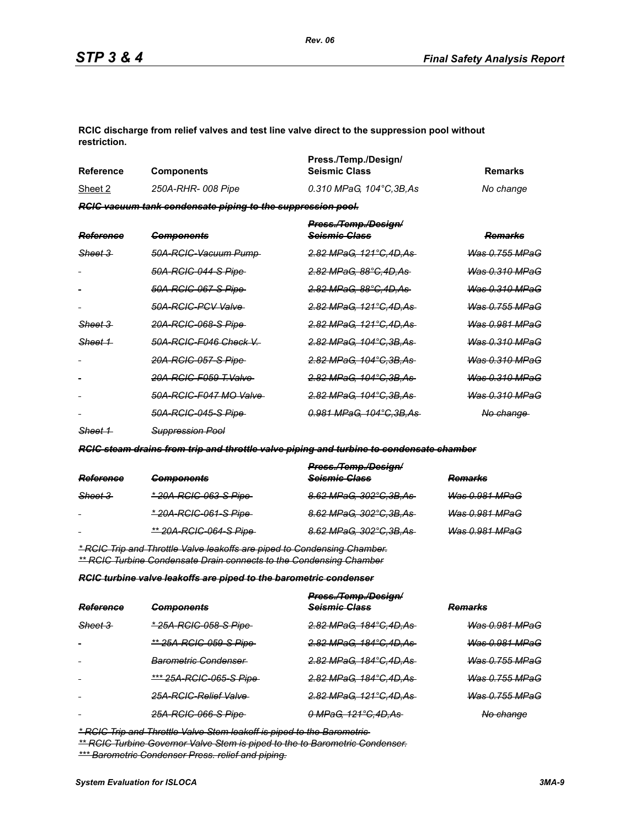**RCIC discharge from relief valves and test line valve direct to the suppression pool without restriction.**

| Reference | <b>Components</b>                                                  | Press./Temp./Design/<br><b>Seismic Class</b> | Remarks   |
|-----------|--------------------------------------------------------------------|----------------------------------------------|-----------|
| Sheet 2   | 250A-RHR- 008 Pipe                                                 | 0.310 MPaG. 104°C.3B.As                      | No change |
|           | <b>RGIC vacuum tank condensate piping to the suppression pool.</b> |                                              |           |

| <b>Reference</b>   | <b>Components</b>           | Press./Temp./Design/<br><del>Scismic Class</del> | <del>Remarks</del>        |
|--------------------|-----------------------------|--------------------------------------------------|---------------------------|
| <del>Sheet 3</del> | 50A-RCIC-Vacuum Pump-       | <u>2.82 MPaG. 121°C.4D.As</u>                    | <u>Was 0.755 MPaG</u>     |
|                    | <u>50A-RCIC-044-S Pipe-</u> | <del>2.82 MPaG. 88°C.4D.As</del>                 | <del>Was 0.310 MPaG</del> |
|                    | <u>50A-RCIC-067-S Pipe </u> | <del>2.82 MPaG. 88°C.4D.As</del>                 | <del>Was 0.310 MPaG</del> |
|                    | 50A-RGIG-PGV Valve          | <u>2.82 MPaG. 121°C.4D.As-</u>                   | <del>Was 0.755 MPaG</del> |
| <del>Sheet 3</del> | <u>20A-RCIC-068-S Pipe </u> | <del>2.82 MPaG. 121°C.4D.As-</del>               | <del>Was 0.981 MPaG</del> |
| Sheet 1            | 50A-RCIC-F046 Check V       | <del>2.82 MPaG, 104°C.3B.As-</del>               | Was 0.310 MPaG            |
|                    | <u>20A-RCIC-057-S Pipe </u> | <u>2.82 MPaG. 104°C.3B.As-</u>                   | <del>Was 0.310 MPaG</del> |
|                    | 20A-RCIC-F059 T.Valve       | <del>2.82 MPaG, 104°C.3B.As -</del>              | <del>Was 0.310 MPaG</del> |
|                    | 50A-RCIC-F047 MO Valve      | <del>2.82 MPaG, 104°C.3B.As -</del>              | <del>Was 0.310 MPaG</del> |
|                    | <u>50A-RCIC-045-S Pipe-</u> | <u>0.981 MPaG. 104°C.3B.As-</u>                  | <del>No change</del>      |
|                    |                             |                                                  |                           |

*Sheet 1 Suppression Pool*

*RCIC steam drains from trip and throttle valve piping and turbine to condensate chamber*

|                    |                                | Press./Temp./Design/     |                |
|--------------------|--------------------------------|--------------------------|----------------|
| Reference          | <b>Components</b>              | Seismic Class            | <b>Remarks</b> |
| <del>Sheet 3</del> | <u>* 20A-RCIC-063-S Pipe</u>   | 8.62 MPaG, 302°C, 3B, As | Was 0.981 MPaG |
| $\sim$             | <u>* 20A-RCIC-061-S Pipe-</u>  | 8.62 MPaG, 302°C, 3B, As | Was 0.981 MPaG |
| $\blacksquare$     | <u>** 20A-RCIC-064-S Pipe-</u> | 8.62 MPaG, 302°C, 3B, As | Was 0.981 MPaG |
|                    |                                |                          |                |

*\* RCIC Trip and Throttle Valve leakoffs are piped to Condensing Chamber. \*\* RCIC Turbine Condensate Drain connects to the Condensing Chamber*

*RCIC turbine valve leakoffs are piped to the barometric condenser*

|           |                                 | Press./Temp./Design/     |                           |  |
|-----------|---------------------------------|--------------------------|---------------------------|--|
| Reference | <b>Components</b>               | Seismic Class            | <b>Remarks</b>            |  |
| Sheet 3   | * 25A-RCIC-058-S Pipe           | 2.82 MPaG, 184°C, 4D, As | <del>Was 0.981 MPaG</del> |  |
|           | ** 25A-RCIC-059-S Pipe          | 2.82 MPaG, 184°C, 4D, As | Was 0.981 MPaG            |  |
| $\sim$    | <del>Barometric Condenser</del> | 2.82 MPaG, 184°C, 4D, As | <del>Was 0.755 MPaG</del> |  |
| $\sim$    | *** 25A-RCIC-065-S Pipe         | 2.82 MPaG, 184°C, 4D, As | <b>Was 0.755 MPaG</b>     |  |
| $\sim$    | 25A-RCIC-Relief Valve           | 2.82 MPaG, 121°C,4D,As   | <b>Was 0.755 MPaG</b>     |  |
|           | 25A-RCIC-066-S Pipe-            | 0 MPaG, 121°C, 4D, As    | No change                 |  |

*\* RCIC Trip and Throttle Valve Stem leakoff is piped to the Barometric* 

*\*\* RCIC Turbine Governor Valve Stem is piped to the to Barometric Condenser. \*\*\* Barometric Condenser Press. relief and piping.*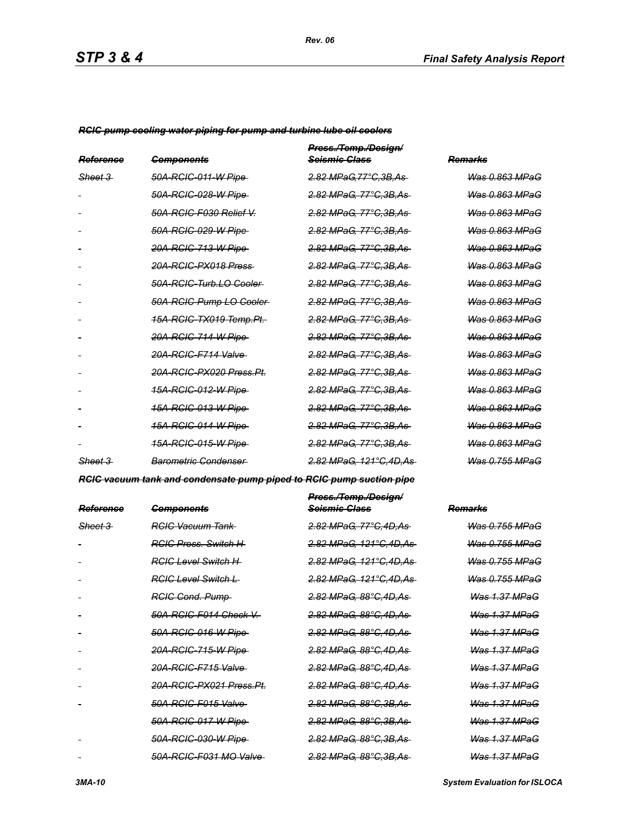*RCIC pump cooling water piping for pump and turbine lube oil coolers*

| Reference          | <b>Components</b>                   | Press./Temp./Design/<br><del>Scismic Class</del> | Remarks                   |
|--------------------|-------------------------------------|--------------------------------------------------|---------------------------|
| <del>Sheet 3</del> | 50A-RGIC-011-W Pipe                 | 2.82 MPaG.77°C.3B.As                             | Was 0.863 MPaG            |
|                    | 50A-RGIC-028-W Pipe                 | 2.82 MPaG, 77°C.3B.As                            | Was 0.863 MPaG            |
|                    | 50A-RCIC-F030 Relief V.             | <u>2.82 MPaG, 77°C,3B,As</u>                     | <del>Was 0.863 MPaG</del> |
|                    | 50A-RCIC-029-W Pipe                 | <u>2.82 MPaG, 77°C,3B,As</u>                     | Was 0.863 MPaG            |
|                    | 20A-RCIC-713-W Pipe                 | <del>2.82 MPaG, 77°C.3B.As</del>                 | <b>Was 0.863 MPaG</b>     |
|                    | 20A-RCIC-PX018 Press                | 2.82 MPaG, 77°C, 3B, As                          | Was 0.863 MPaG            |
|                    | 50A-RCIC-Turb.LO Cooler             | <u>2.82 MPaG, 77°C,3B,As</u>                     | <del>Was 0.863 MPaG</del> |
|                    | 50A-RCIC-Pump LO-Cooler-            | <u>2.82 MPaG, 77°C,3B,As-</u>                    | <del>Was 0.863 MPaG</del> |
|                    | <del>15A-RCIC-TX019 Temp.Pt.</del>  | <del>2.82 MPaG. 77°C.3B.As</del>                 | <del>Was 0.863 MPaG</del> |
|                    | 20A-RCIC-714-W Pipe                 | <u>2.82 MPaG, 77°C,3B,As-</u>                    | <del>Was 0.863 MPaG</del> |
|                    | <del>20A-RCIC-F714 Valve</del>      | <u>2.82 MPaG, 77°C,3B,As</u>                     | <del>Was 0.863 MPaG</del> |
|                    | <del>20A-RCIC-PX020 Press.Pt.</del> | <u>2.82 MPaG, 77°C,3B,As</u>                     | <del>Was 0.863 MPaG</del> |
|                    | <u>15A-RCIC-012-W Pipe </u>         | <u>2.82 MPaG, 77°C,3B,As</u>                     | <del>Was 0.863 MPaG</del> |
|                    | <u>15A-RCIC-013-W Pipe </u>         | <u>2.82 MPaG, 77°C,3B,As</u>                     | <del>Was 0.863 MPaG</del> |
|                    | <u>15A-RCIC-014-W Pipe</u>          | <del>2.82 MPaG, 77°C.3B.As</del>                 | <del>Was 0.863 MPaG</del> |
|                    | <u>15A-RCIC-015-W Pipe </u>         | <del>2.82 MPaG, 77°C.3B.As</del>                 | <del>Was 0.863 MPaG</del> |
| Sheet 3            | Barometric Condenser                | <del>2.82 MPaG. 121°C.4D.As-</del>               | Was 0.755 MPaG            |

*RCIC vacuum tank and condensate pump piped to RCIC pump suction pipe*

| Reference | <del>Components</del>               | Press./Temp./Design/<br><del>Scismic Class</del> | <del>Remarks</del>        |
|-----------|-------------------------------------|--------------------------------------------------|---------------------------|
| Sheet 3   | <del>RCIC Vacuum Tank</del>         | 2.82 MPaG, 77°C.4D.As                            | Was 0.755 MPaG            |
|           | <b>RGIC Press</b> , Switch H        | <del>2.82 MPaG, 121°C,4D,As-</del>               | <del>Was 0.755 MPaG</del> |
|           | <del>RCIC Level Switch H</del>      | <del>2.82 MPaG. 121°C.4D.As-</del>               | <u>Was 0.755 MPaG</u>     |
|           | RGIC Level Switch L                 | 2.82 MPaG, 121°C, 4D, As                         | <del>Was 0.755 MPaG</del> |
|           | <b>RGIG Cond. Pump</b>              | <del>2.82 MPaG. 88°C.4D.As-</del>                | <del>Was 1.37 MPaG</del>  |
|           | 50A-RCIC-F014 Check V.-             | 2.82 MPaG, 88°C, 4D, As                          | <b>Was 1.37 MPaG</b>      |
|           | 50A-RCIC-016-W Pipe-                | <del>2.82 MPaG. 88°C.4D.As-</del>                | <b>Was 1.37 MPaG</b>      |
|           | 20A-RCIC-715-W Pipe                 | <del>2.82 MPaG. 88°C.4D.As-</del>                | <b>Was 1.37 MPaG</b>      |
|           | 20A-RCIC-F715 Valve                 | <del>2.82 MPaG. 88°C.4D.As-</del>                | <b>Was 1.37 MPaG</b>      |
|           | <del>20A-RCIC-PX021 Press.Pt.</del> | <del>2.82 MPaG. 88°C.4D.As-</del>                | <b>Was 1.37 MPaG</b>      |
|           | 50A-RCIC-F015 Valve                 | <del>2.82 MPaG. 88°C.3B.As-</del>                | <b>Was 1.37 MPaG</b>      |
|           | 50A-RCIC-017-W Pipe                 | <u>2.82 MPaG, 88°C,3B,As-</u>                    | <b>Was 1.37 MPaG</b>      |
|           | 50A-RCIC-030-W Pipe                 | <del>2.82 MPaG. 88°C.3B.As-</del>                | <b>Was 1.37 MPaG</b>      |
|           | 50A-RCIC-F031 MO Valve              | <del>2.82 MPaG. 88°C.3B.As-</del>                | <b>Was 1.37 MPaG</b>      |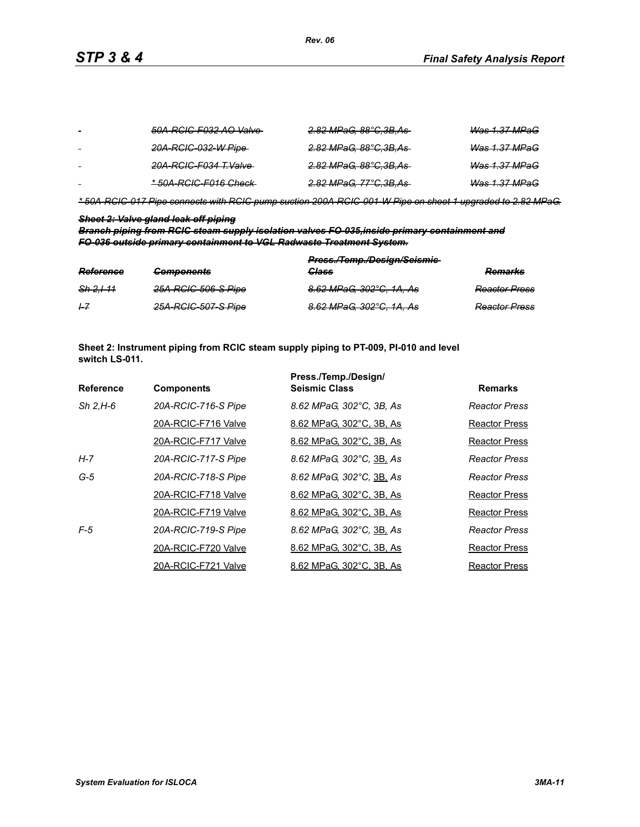| $\sim$ | 50A-RCIC-F032 AO Valve- | <del>2.82 MPaG, 88°C,3B,As-</del> | <del>Was 1.37 MPaG</del> |
|--------|-------------------------|-----------------------------------|--------------------------|
|        | 20A-RCIC-032-W Pipe-    | <del>2.82 MPaG, 88°C,3B,As-</del> | <del>Was 1.37 MPaG</del> |
|        | 20A-RCIC-F034 T.Valve   | <del>2.82 MPaG, 88°C,3B,As-</del> | <b>Was 1.37 MPaG</b>     |
| $\sim$ | * 50A-RCIC-F016 Check   | <del>2.82 MPaG, 77°C,3B,As-</del> | <b>Was 1.37 MPaG</b>     |

*\* 50A-RCIC-017 Pipe connects with RCIC pump suction 200A-RCIC-001-W Pipe on sheet 1 upgraded to 2.82 MPaG.*

### *Sheet 2: Valve gland leak off piping*

*Branch piping from RCIC steam supply isolation valves FO-035,inside primary containment and FO-036 outside primary containment to VGL Radwaste Treatment System.*

| Reference            | Componente<br><del>components</del> | Press./Temp./Design/Seismic-<br><b>Class</b> | <b>Remarks</b>       |
|----------------------|-------------------------------------|----------------------------------------------|----------------------|
| <del>Sh 2.1-11</del> | 25A-RCIC-506-S Pipe                 | 8.62 MPaG, 302°C, 1A, As                     | <b>Reactor Press</b> |
| $+7$                 | 25A-RCIC-507-S Pipe                 | 8.62 MPaG, 302°C, 1A, As                     | <b>Reactor Press</b> |

**Sheet 2: Instrument piping from RCIC steam supply piping to PT-009, PI-010 and level switch LS-011.**

|                  |                     | Press./Temp./Design/     |                      |
|------------------|---------------------|--------------------------|----------------------|
| <b>Reference</b> | <b>Components</b>   | <b>Seismic Class</b>     | <b>Remarks</b>       |
| $Sh$ 2.H-6       | 20A-RCIC-716-S Pipe | 8.62 MPaG, 302°C, 3B, As | Reactor Press        |
|                  | 20A-RCIC-F716 Valve | 8.62 MPaG, 302°C, 3B, As | Reactor Press        |
|                  | 20A-RCIC-F717 Valve | 8.62 MPaG, 302°C, 3B, As | Reactor Press        |
| H-7              | 20A-RCIC-717-S Pipe | 8.62 MPaG, 302°C, 3B, As | <b>Reactor Press</b> |
| $G-5$            | 20A-RCIC-718-S Pipe | 8.62 MPaG, 302°C, 3B, As | Reactor Press        |
|                  | 20A-RCIC-F718 Valve | 8.62 MPaG, 302°C, 3B, As | Reactor Press        |
|                  | 20A-RCIC-F719 Valve | 8.62 MPaG, 302°C, 3B, As | Reactor Press        |
| $F-5$            | 20A-RCIC-719-S Pipe | 8.62 MPaG, 302°C, 3B, As | <b>Reactor Press</b> |
|                  | 20A-RCIC-F720 Valve | 8.62 MPaG, 302°C, 3B, As | <b>Reactor Press</b> |
|                  | 20A-RCIC-F721 Valve | 8.62 MPaG, 302°C, 3B, As | <b>Reactor Press</b> |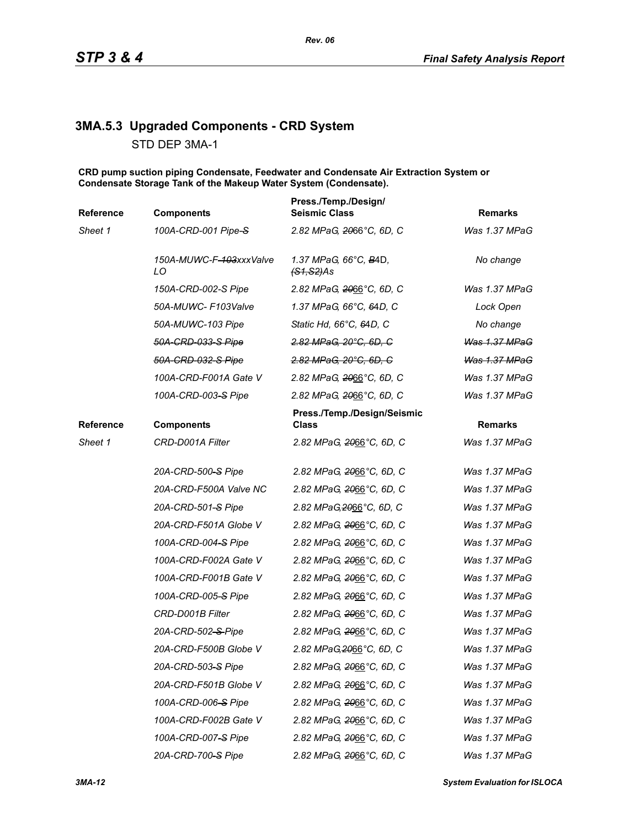# **3MA.5.3 Upgraded Components - CRD System**

STD DEP 3MA-1

**CRD pump suction piping Condensate, Feedwater and Condensate Air Extraction System or Condensate Storage Tank of the Makeup Water System (Condensate).**

| Reference | <b>Components</b>             | Press./Temp./Design/<br><b>Seismic Class</b>   | <b>Remarks</b>       |
|-----------|-------------------------------|------------------------------------------------|----------------------|
| Sheet 1   | 100A-CRD-001 Pipe-S           | 2.82 MPaG, 2066°C, 6D, C                       | Was 1.37 MPaG        |
|           | 150A-MUWC-F-103xxxValve<br>LO | 1.37 MPaG, 66°C, B4D,<br><del>(S1,S2)</del> As | No change            |
|           | 150A-CRD-002-S Pipe           | 2.82 MPaG, 2066°C, 6D, C                       | Was 1.37 MPaG        |
|           | 50A-MUWC- F103Valve           | 1.37 MPaG, 66°C, 64D, C                        | Lock Open            |
|           | 50A-MUWC-103 Pipe             | Static Hd, 66°C, 64D, C                        | No change            |
|           | 50A-CRD-033-S Pipe            | 2.82 MPaG, 20°C, 6D, C                         | Was 1.37 MPaG        |
|           | 50A-CRD-032-S Pipe            | 2.82 MPaG, 20°C, 6D, C                         | <b>Was 1.37 MPaG</b> |
|           | 100A-CRD-F001A Gate V         | 2.82 MPaG, 2066°C, 6D, C                       | Was 1.37 MPaG        |
|           | 100A-CRD-003-S Pipe           | 2.82 MPaG, 2066°C, 6D, C                       | Was 1.37 MPaG        |
| Reference | <b>Components</b>             | Press./Temp./Design/Seismic<br>Class           | <b>Remarks</b>       |
| Sheet 1   | CRD-D001A Filter              | 2.82 MPaG, 2066°C, 6D, C                       | Was 1.37 MPaG        |
|           | 20A-CRD-500-S Pipe            | 2.82 MPaG, 2066°C, 6D, C                       | Was 1.37 MPaG        |
|           | 20A-CRD-F500A Valve NC        | 2.82 MPaG, 2066°C, 6D, C                       | Was 1.37 MPaG        |
|           | 20A-CRD-501-S Pipe            | 2.82 MPaG, 2066°C, 6D, C                       | Was 1.37 MPaG        |
|           | 20A-CRD-F501A Globe V         | 2.82 MPaG, 2066°C, 6D, C                       | Was 1.37 MPaG        |
|           | 100A-CRD-004-S Pipe           | 2.82 MPaG, 2066°C, 6D, C                       | Was 1.37 MPaG        |
|           | 100A-CRD-F002A Gate V         | 2.82 MPaG, 2066°C, 6D, C                       | Was 1.37 MPaG        |
|           | 100A-CRD-F001B Gate V         | 2.82 MPaG, 2066°C, 6D, C                       | Was 1.37 MPaG        |
|           | 100A-CRD-005-S Pipe           | 2.82 MPaG, 2066°C, 6D, C                       | Was 1.37 MPaG        |
|           | CRD-D001B Filter              | 2.82 MPaG, 2066°C, 6D, C                       | Was 1.37 MPaG        |
|           | 20A-CRD-502-S-Pipe            | 2.82 MPaG, 2066°C, 6D, C                       | Was 1.37 MPaG        |
|           | 20A-CRD-F500B Globe V         | 2.82 MPaG, 2066°C, 6D, C                       | Was 1.37 MPaG        |
|           | 20A-CRD-503-S Pipe            | 2.82 MPaG, 2066°C, 6D, C                       | Was 1.37 MPaG        |
|           | 20A-CRD-F501B Globe V         | 2.82 MPaG, 2066°C, 6D, C                       | Was 1.37 MPaG        |
|           | 100A-CRD-006-S Pipe           | 2.82 MPaG, 2066°C, 6D, C                       | Was 1.37 MPaG        |
|           | 100A-CRD-F002B Gate V         | 2.82 MPaG, 2066°C, 6D, C                       | Was 1.37 MPaG        |
|           | 100A-CRD-007-S Pipe           | 2.82 MPaG, 2066°C, 6D, C                       | Was 1.37 MPaG        |
|           | 20A-CRD-700-S Pipe            | 2.82 MPaG, 2066°C, 6D, C                       | Was 1.37 MPaG        |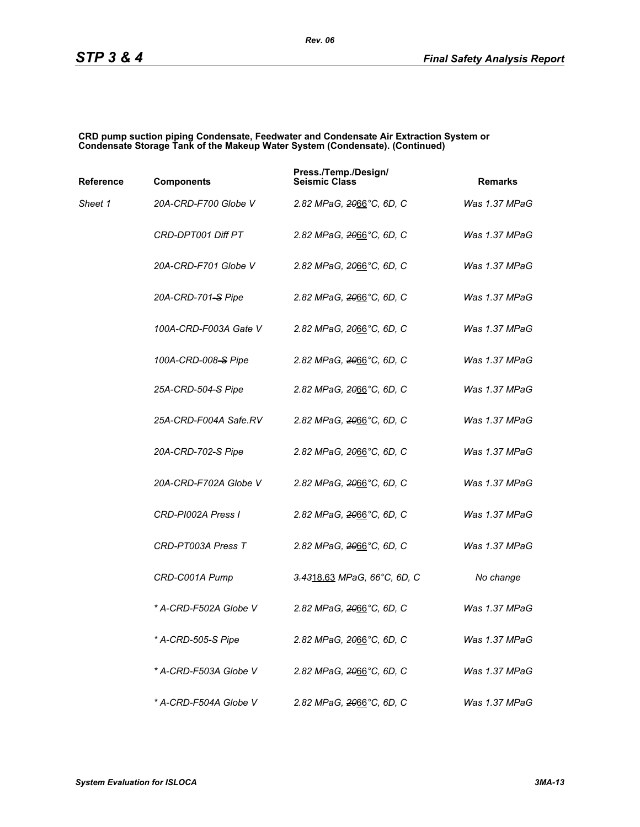#### **CRD pump suction piping Condensate, Feedwater and Condensate Air Extraction System or Condensate Storage Tank of the Makeup Water System (Condensate). (Continued)**

| Reference | <b>Components</b>              | Press./Temp./Design/<br><b>Seismic Class</b> | <b>Remarks</b> |
|-----------|--------------------------------|----------------------------------------------|----------------|
| Sheet 1   | 20A-CRD-F700 Globe V           | 2.82 MPaG, 2066°C, 6D, C                     | Was 1.37 MPaG  |
|           | CRD-DPT001 Diff PT             | 2.82 MPaG, 2066°C, 6D, C                     | Was 1.37 MPaG  |
|           | 20A-CRD-F701 Globe V           | 2.82 MPaG, <del>20</del> 66°C, 6D, C         | Was 1.37 MPaG  |
|           | 20A-CRD-701-S Pipe             | 2.82 MPaG, 2066°C, 6D, C                     | Was 1.37 MPaG  |
|           | 100A-CRD-F003A Gate V          | 2.82 MPaG, 2066°C, 6D, C                     | Was 1.37 MPaG  |
|           | 100A-CRD-008-S Pipe            | 2.82 MPaG, 2066°C, 6D, C                     | Was 1.37 MPaG  |
|           | 25A-CRD-504-S Pipe             | 2.82 MPaG, 2066°C, 6D, C                     | Was 1.37 MPaG  |
|           | 25A-CRD-F004A Safe.RV          | 2.82 MPaG, <del>20</del> 66°C, 6D, C         | Was 1.37 MPaG  |
|           | 20A-CRD-702-S Pipe             | 2.82 MPaG, 2066°C, 6D, C                     | Was 1.37 MPaG  |
|           | 20A-CRD-F702A Globe V          | 2.82 MPaG, 2066°C, 6D, C                     | Was 1.37 MPaG  |
|           | CRD-PI002A Press I             | 2.82 MPaG, <del>20</del> 66°C, 6D, C         | Was 1.37 MPaG  |
|           | CRD-PT003A Press T             | 2.82 MPaG, 2066°C, 6D, C                     | Was 1.37 MPaG  |
|           | CRD-C001A Pump                 | 3.4318.63 MPaG, 66°C, 6D, C                  | No change      |
|           | * A-CRD-F502A Globe V          | 2.82 MPaG, 2066°C, 6D, C                     | Was 1.37 MPaG  |
|           | * A-CRD-505 <del>-S</del> Pipe | 2.82 MPaG, 2066°C, 6D, C                     | Was 1.37 MPaG  |
|           | * A-CRD-F503A Globe V          | 2.82 MPaG, 2066°C, 6D, C                     | Was 1.37 MPaG  |
|           | * A-CRD-F504A Globe V          | 2.82 MPaG, 2066°C, 6D, C                     | Was 1.37 MPaG  |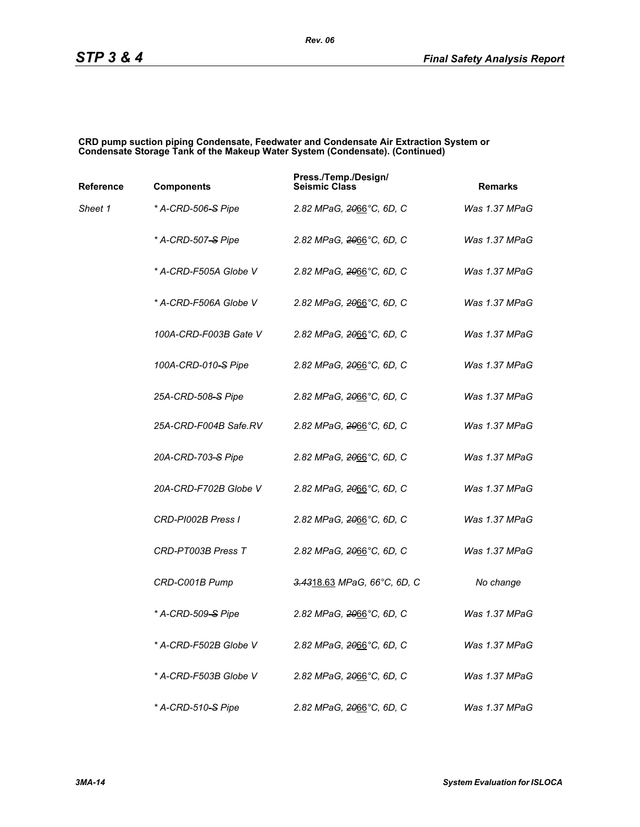#### **CRD pump suction piping Condensate, Feedwater and Condensate Air Extraction System or Condensate Storage Tank of the Makeup Water System (Condensate). (Continued)**

| Reference | <b>Components</b>              | Press./Temp./Design/<br><b>Seismic Class</b> | <b>Remarks</b> |
|-----------|--------------------------------|----------------------------------------------|----------------|
| Sheet 1   | * A-CRD-506-S Pipe             | 2.82 MPaG, <del>20</del> 66°C, 6D, C         | Was 1.37 MPaG  |
|           | * A-CRD-507 <del>-S</del> Pipe | 2.82 MPaG, 2066°C, 6D, C                     | Was 1.37 MPaG  |
|           | * A-CRD-F505A Globe V          | 2.82 MPaG, 2066°C, 6D, C                     | Was 1.37 MPaG  |
|           | * A-CRD-F506A Globe V          | 2.82 MPaG, 2066°C, 6D, C                     | Was 1.37 MPaG  |
|           | 100A-CRD-F003B Gate V          | 2.82 MPaG, 2066°C, 6D, C                     | Was 1.37 MPaG  |
|           | 100A-CRD-010-S Pipe            | 2.82 MPaG, <del>20</del> 66°C, 6D, C         | Was 1.37 MPaG  |
|           | 25A-CRD-508–S Pipe             | 2.82 MPaG, 2066°C, 6D, C                     | Was 1.37 MPaG  |
|           | 25A-CRD-F004B Safe.RV          | 2.82 MPaG, 2066°C, 6D, C                     | Was 1.37 MPaG  |
|           | 20A-CRD-703-S Pipe             | 2.82 MPaG, <del>20</del> 66°C, 6D, C         | Was 1.37 MPaG  |
|           | 20A-CRD-F702B Globe V          | 2.82 MPaG, <del>20</del> 66°C, 6D, C         | Was 1.37 MPaG  |
|           | CRD-PI002B Press I             | 2.82 MPaG, 2066°C, 6D, C                     | Was 1.37 MPaG  |
|           | CRD-PT003B Press T             | 2.82 MPaG, 2066°C, 6D, C                     | Was 1.37 MPaG  |
|           | CRD-C001B Pump                 | 3.4318.63 MPaG, 66°C, 6D, C                  | No change      |
|           | * A-CRD-509-S Pipe             | 2.82 MPaG, 2066°C, 6D, C                     | Was 1.37 MPaG  |
|           | * A-CRD-F502B Globe V          | 2.82 MPaG, 2066°C, 6D, C                     | Was 1.37 MPaG  |
|           | * A-CRD-F503B Globe V          | 2.82 MPaG, 2066°C, 6D, C                     | Was 1.37 MPaG  |
|           | * A-CRD-510 <del>-S</del> Pipe | 2.82 MPaG, 2066°C, 6D, C                     | Was 1.37 MPaG  |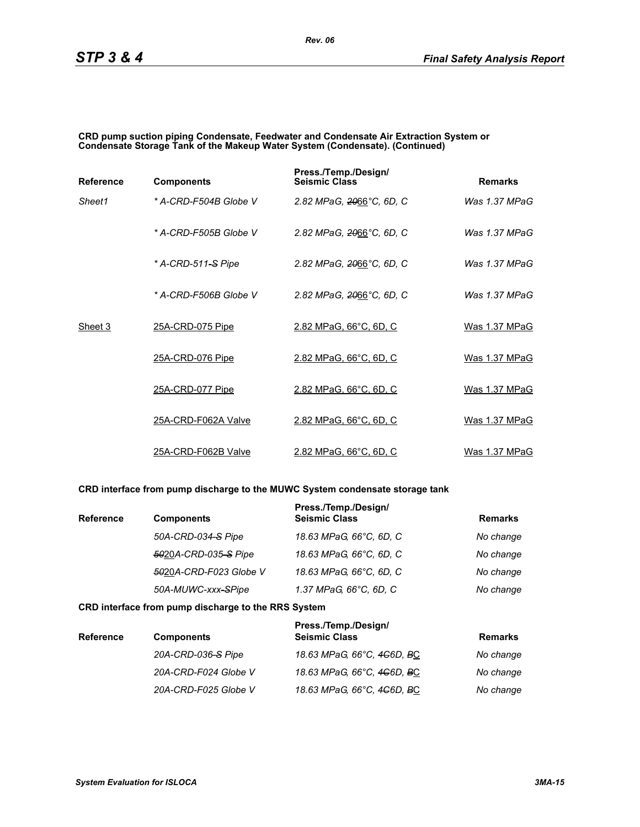#### **CRD pump suction piping Condensate, Feedwater and Condensate Air Extraction System or Condensate Storage Tank of the Makeup Water System (Condensate). (Continued)**

| <b>Reference</b> | <b>Components</b>     | Press./Temp./Design/<br><b>Seismic Class</b> | <b>Remarks</b>  |
|------------------|-----------------------|----------------------------------------------|-----------------|
| Sheet1           | * A-CRD-F504B Globe V | 2.82 MPaG, 2066°C, 6D, C                     | Was $1.37$ MPaG |
|                  | * A-CRD-F505B Globe V | 2.82 MPaG, 2066°C, 6D, C                     | Was $1.37$ MPaG |
|                  | * A-CRD-511-S Pipe    | 2.82 MPaG, 2066°C, 6D, C                     | Was 1.37 MPaG   |
|                  | * A-CRD-F506B Globe V | 2.82 MPaG, 2066°C, 6D, C                     | Was $1.37$ MPaG |
| Sheet 3          | 25A-CRD-075 Pipe      | 2.82 MPaG, 66°C, 6D, C                       | Was 1.37 MPaG   |
|                  | 25A-CRD-076 Pipe      | 2.82 MPaG, 66°C, 6D, C                       | Was 1.37 MPaG   |
|                  | 25A-CRD-077 Pipe      | 2.82 MPaG, 66°C, 6D, C                       | Was 1.37 MPaG   |
|                  | 25A-CRD-F062A Valve   | 2.82 MPaG, 66°C, 6D, C                       | Was 1.37 MPaG   |
|                  | 25A-CRD-F062B Valve   | 2.82 MPaG, 66°C, 6D, C                       | Was 1.37 MPaG   |

### **CRD interface from pump discharge to the MUWC System condensate storage tank**

| <b>Reference</b> | <b>Components</b>      | Press./Temp./Design/<br><b>Seismic Class</b> | <b>Remarks</b> |
|------------------|------------------------|----------------------------------------------|----------------|
|                  | 50A-CRD-034-S Pipe     | 18.63 MPaG, 66°C, 6D, C                      | No change      |
|                  | 5020A-CRD-035-S Pipe   | 18.63 MPaG, 66°C, 6D, C                      | No change      |
|                  | 5020A-CRD-F023 Globe V | 18.63 MPaG, 66°C, 6D, C                      | No change      |
|                  | 50A-MUWC-xxx-SPipe     | 1.37 MPaG, 66°C, 6D, C                       | No change      |

#### **CRD interface from pump discharge to the RRS System**

| <b>Reference</b> | <b>Components</b>    | Press./Temp./Design/<br><b>Seismic Class</b> | <b>Remarks</b> |
|------------------|----------------------|----------------------------------------------|----------------|
|                  | 20A-CRD-036-S Pipe   | 18.63 MPaG, 66°C, 4 <del>C</del> 6D, BC      | No change      |
|                  | 20A-CRD-F024 Globe V | 18.63 MPaG, 66°C, 4 <del>C</del> 6D, BC      | No change      |
|                  | 20A-CRD-F025 Globe V | 18.63 MPaG, 66°C, 4 <del>C</del> 6D, BC      | No change      |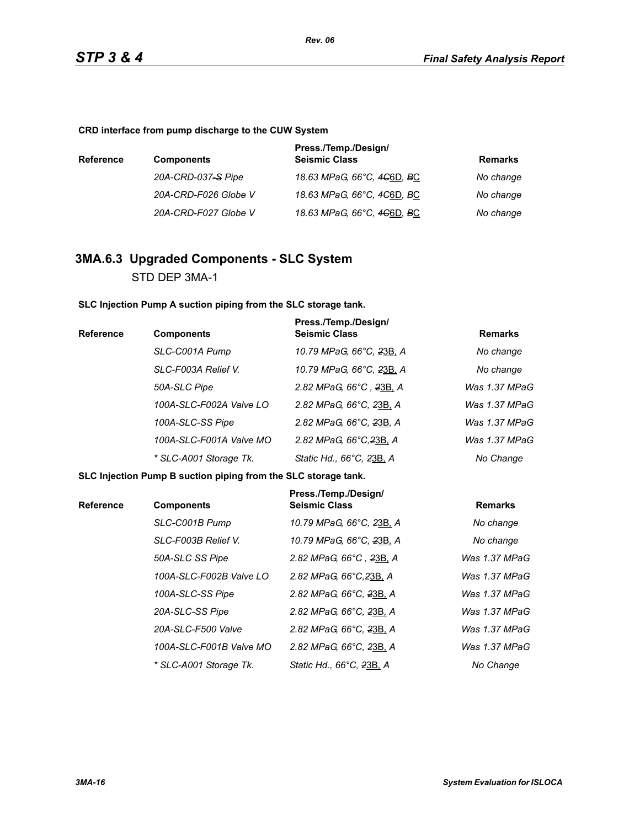**CRD interface from pump discharge to the CUW System**

| <b>Reference</b> | <b>Components</b>    | Press./Temp./Design/<br><b>Seismic Class</b>        | Remarks   |
|------------------|----------------------|-----------------------------------------------------|-----------|
|                  | 20A-CRD-037-S Pipe   | 18.63 MPaG, 66°C, 4 <del>C</del> 6D, <del>B</del> C | No change |
|                  | 20A-CRD-F026 Globe V | 18.63 MPaG, 66°C, 4 <del>C</del> 6D, <del>B</del> C | No change |
|                  | 20A-CRD-F027 Globe V | 18.63 MPaG, 66°C, 4 <del>C</del> 6D, <del>B</del> C | No change |

# **3MA.6.3 Upgraded Components - SLC System** STD DEP 3MA-1

**SLC Injection Pump A suction piping from the SLC storage tank.**

| <b>Reference</b> | <b>Components</b>       | Press./Temp./Design/<br><b>Seismic Class</b> | <b>Remarks</b> |
|------------------|-------------------------|----------------------------------------------|----------------|
|                  | SLC-C001A Pump          | 10.79 MPaG, 66°C, 23B, A                     | No change      |
|                  | SLC-F003A Relief V.     | 10.79 MPaG, 66°C, 23B, A                     | No change      |
|                  | 50A-SLC Pipe            | 2.82 MPaG, 66°C, 23B, A                      | Was 1.37 MPaG  |
|                  | 100A-SLC-F002A Valve LO | 2.82 MPaG, 66°C, 23B, A                      | Was 1.37 MPaG  |
|                  | 100A-SLC-SS Pipe        | 2.82 MPaG, 66°C, 23B, A                      | Was 1.37 MPaG  |
|                  | 100A-SLC-F001A Valve MO | 2.82 MPaG, 66°C, 23B, A                      | Was 1.37 MPaG  |
|                  | * SLC-A001 Storage Tk.  | Static Hd., 66°C, 23B, A                     | No Change      |

**SLC Injection Pump B suction piping from the SLC storage tank.**

| <b>Reference</b> | <b>Components</b>       | Press./Temp./Design/<br><b>Seismic Class</b> | <b>Remarks</b> |
|------------------|-------------------------|----------------------------------------------|----------------|
|                  | SLC-C001B Pump          | 10.79 MPaG, 66°C, 23B, A                     | No change      |
|                  | SLC-F003B Relief V.     | 10.79 MPaG, 66°C, 23B, A                     | No change      |
|                  | 50A-SLC SS Pipe         | 2.82 MPaG, 66°C, 23B, A                      | Was 1.37 MPaG  |
|                  | 100A-SLC-F002B Valve LO | 2.82 MPaG, 66°C, 23B, A                      | Was 1.37 MPaG  |
|                  | 100A-SLC-SS Pipe        | 2.82 MPaG, 66°C, 23B, A                      | Was 1.37 MPaG  |
|                  | 20A-SLC-SS Pipe         | 2.82 MPaG, 66°C, 23B, A                      | Was 1.37 MPaG  |
|                  | 20A-SLC-F500 Valve      | 2.82 MPaG, 66°C, 23B, A                      | Was 1.37 MPaG  |
|                  | 100A-SLC-F001B Valve MO | 2.82 MPaG, 66°C, 23B, A                      | Was 1.37 MPaG  |
|                  | * SLC-A001 Storage Tk.  | Static Hd., 66°C, 23B, A                     | No Change      |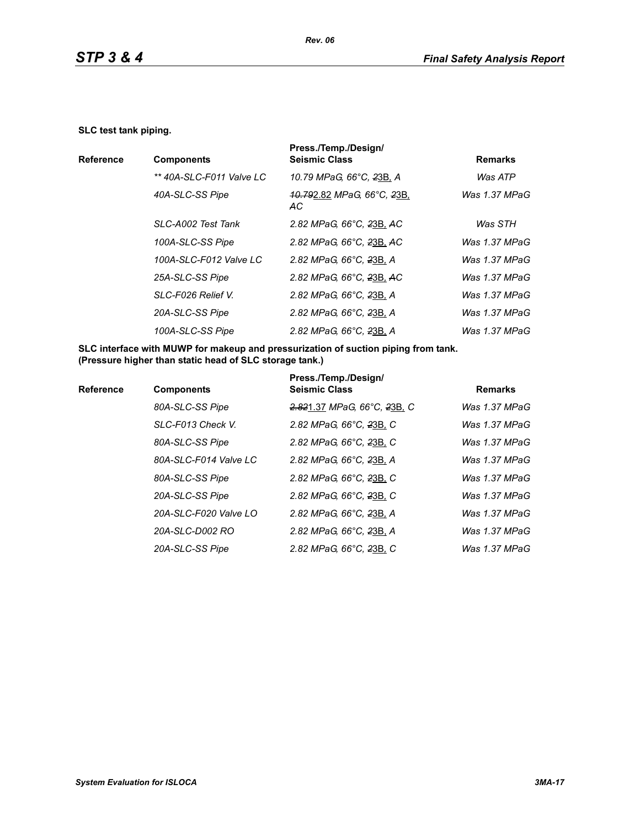#### **SLC test tank piping.**

|                  |                          | Press./Temp./Design/                                            |                 |
|------------------|--------------------------|-----------------------------------------------------------------|-----------------|
| <b>Reference</b> | <b>Components</b>        | <b>Seismic Class</b>                                            | <b>Remarks</b>  |
|                  | ** 40A-SLC-F011 Valve LC | 10.79 MPaG, 66°C, 23B, A                                        | Was ATP         |
|                  | 40A-SLC-SS Pipe          | <del>.10.79</del> 2.82 <i>MPaG, 66°C, <del>2</del>3B</i><br>AC. | Was 1.37 MPaG   |
|                  | SLC-A002 Test Tank       | 2.82 MPaG, 66°C, 23B, AC                                        | Was STH         |
|                  | 100A-SLC-SS Pipe         | 2.82 MPaG, 66°C, 23B, AC                                        | Was 1.37 MPaG   |
|                  | 100A-SLC-F012 Valve LC   | 2.82 MPaG, 66°C, 23B, A                                         | Was 1.37 MPaG   |
|                  | 25A-SLC-SS Pipe          | 2.82 MPaG, 66°C, 23B, AC                                        | Was 1.37 MPaG   |
|                  | SLC-F026 Relief V.       | 2.82 MPaG, 66°C, 23B, A                                         | Was $1.37$ MPaG |
|                  | 20A-SLC-SS Pipe          | 2.82 MPaG, 66°C, 23B, A                                         | Was 1.37 MPaG   |
|                  | 100A-SLC-SS Pipe         | 2.82 MPaG, 66°C, 23B, A                                         | Was $1.37$ MPaG |
|                  |                          |                                                                 |                 |

**SLC interface with MUWP for makeup and pressurization of suction piping from tank. (Pressure higher than static head of SLC storage tank.)**

| <b>Reference</b> | <b>Components</b>     | Press./Temp./Design/<br><b>Seismic Class</b> | <b>Remarks</b> |
|------------------|-----------------------|----------------------------------------------|----------------|
|                  | 80A-SLC-SS Pipe       | 2.821.37 MPaG, 66°C, 23B, C                  | Was 1.37 MPaG  |
|                  | SLC-F013 Check V.     | 2.82 MPaG, 66°C, 23B, C                      | Was 1.37 MPaG  |
|                  | 80A-SLC-SS Pipe       | 2.82 MPaG, 66°C, 23B, C                      | Was 1.37 MPaG  |
|                  | 80A-SLC-F014 Valve LC | 2.82 MPaG, 66°C, 23B, A                      | Was 1.37 MPaG  |
|                  | 80A-SLC-SS Pipe       | 2.82 MPaG, 66°C, 23B, C                      | Was 1.37 MPaG  |
|                  | 20A-SLC-SS Pipe       | 2.82 MPaG, 66°C, 23B, C                      | Was 1.37 MPaG  |
|                  | 20A-SLC-F020 Valve LO | 2.82 MPaG, 66°C, 23B, A                      | Was 1.37 MPaG  |
|                  | 20A-SLC-D002 RO       | 2.82 MPaG, 66°C, 23B, A                      | Was 1.37 MPaG  |
|                  | 20A-SLC-SS Pipe       | 2.82 MPaG, 66°C, 23B, C                      | Was 1.37 MPaG  |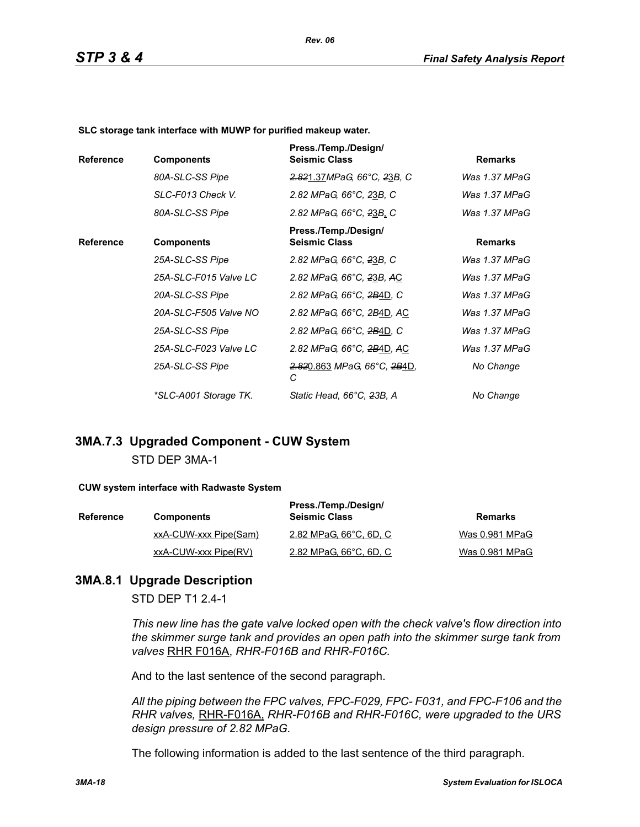*Rev. 06*

**SLC storage tank interface with MUWP for purified makeup water.**

| <b>Reference</b> | <b>Components</b>     | Press./Temp./Design/<br><b>Seismic Class</b>             | <b>Remarks</b> |
|------------------|-----------------------|----------------------------------------------------------|----------------|
|                  | 80A-SLC-SS Pipe       | 2.821.37MPaG, 66°C, 23B, C                               | Was 1.37 MPaG  |
|                  | SLC-F013 Check V.     | 2.82 MPaG, 66°C, 23B, C                                  | Was 1.37 MPaG  |
|                  | 80A-SLC-SS Pipe       | 2.82 MPaG, 66°C, 23B, C                                  | Was 1.37 MPaG  |
| <b>Reference</b> | <b>Components</b>     | Press./Temp./Design/<br><b>Seismic Class</b>             | <b>Remarks</b> |
|                  | 25A-SLC-SS Pipe       | 2.82 MPaG, 66°C, 23B, C                                  | Was 1.37 MPaG  |
|                  | 25A-SLC-F015 Valve LC | 2.82 MPaG, 66°C, 23B, AC                                 | Was 1.37 MPaG  |
|                  | 20A-SLC-SS Pipe       | 2.82 MPaG, 66°C, 2B4D, C                                 | Was 1.37 MPaG  |
|                  | 20A-SLC-F505 Valve NO | 2.82 MPaG, 66°C, 2B4D, AC                                | Was 1.37 MPaG  |
|                  | 25A-SLC-SS Pipe       | 2.82 MPaG, 66°C, 2B4D, C                                 | Was 1.37 MPaG  |
|                  | 25A-SLC-F023 Valve LC | 2.82 MPaG, 66°C, 2B4D, AC                                | Was 1.37 MPaG  |
|                  | 25A-SLC-SS Pipe       | <del>2.82</del> 0.863 MPaG, 66°C, <del>2B</del> 4D,<br>С | No Change      |
|                  | *SLC-A001 Storage TK. | Static Head, 66°C, 23B, A                                | No Change      |

# **3MA.7.3 Upgraded Component - CUW System** STD DEP 3MA-1

#### **CUW system interface with Radwaste System**

| <b>Reference</b> | <b>Components</b>     | Press./Temp./Design/<br><b>Seismic Class</b> | Remarks        |
|------------------|-----------------------|----------------------------------------------|----------------|
|                  | xxA-CUW-xxx Pipe(Sam) | 2.82 MPaG, 66°C, 6D, C                       | Was 0.981 MPaG |
|                  | xxA-CUW-xxx Pipe(RV)  | 2.82 MPaG, 66°C, 6D, C                       | Was 0.981 MPaG |

# **3MA.8.1 Upgrade Description**

STD DEP T1 2.4-1

*This new line has the gate valve locked open with the check valve's flow direction into the skimmer surge tank and provides an open path into the skimmer surge tank from valves* RHR F016A, *RHR-F016B and RHR-F016C.*

And to the last sentence of the second paragraph.

*All the piping between the FPC valves, FPC-F029, FPC- F031, and FPC-F106 and the RHR valves,* RHR-F016A, *RHR-F016B and RHR-F016C, were upgraded to the URS design pressure of 2.82 MPaG.*

The following information is added to the last sentence of the third paragraph.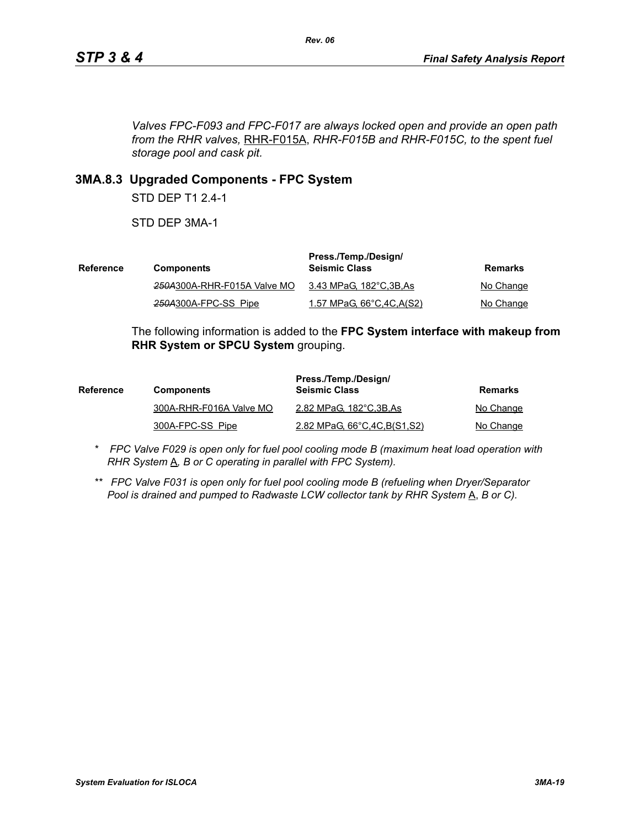*Valves FPC-F093 and FPC-F017 are always locked open and provide an open path from the RHR valves,* RHR-F015A, *RHR-F015B and RHR-F015C, to the spent fuel storage pool and cask pit.*

# **3MA.8.3 Upgraded Components - FPC System**

STD DEP T1 2.4-1

STD DEP 3MA-1

| Reference | <b>Components</b>           | Press./Temp./Design/<br><b>Seismic Class</b> | Remarks   |
|-----------|-----------------------------|----------------------------------------------|-----------|
|           | 250A300A-RHR-F015A Valve MO | 3.43 MPaG, 182°C,3B,As                       | No Change |
|           | 250A300A-FPC-SS Pipe        | <u>1.57 MPaG, 66°C, 4C, A(S2)</u>            | No Change |

The following information is added to the **FPC System interface with makeup from RHR System or SPCU System** grouping.

| <b>Reference</b> | <b>Components</b>       | Press./Temp./Design/<br><b>Seismic Class</b> | Remarks   |
|------------------|-------------------------|----------------------------------------------|-----------|
|                  | 300A-RHR-F016A Valve MO | 2.82 MPaG, 182°C, 3B, As                     | No Change |
|                  | 300A-FPC-SS Pipe        | 2.82 MPaG, 66°C, 4C, B(S1, S2)               | No Change |

- *\* FPC Valve F029 is open only for fuel pool cooling mode B (maximum heat load operation with RHR System*  $\underline{A}$ *, B or C operating in parallel with FPC System).*
- *\*\* FPC Valve F031 is open only for fuel pool cooling mode B (refueling when Dryer/Separator Pool is drained and pumped to Radwaste LCW collector tank by RHR System* A, *B or C).*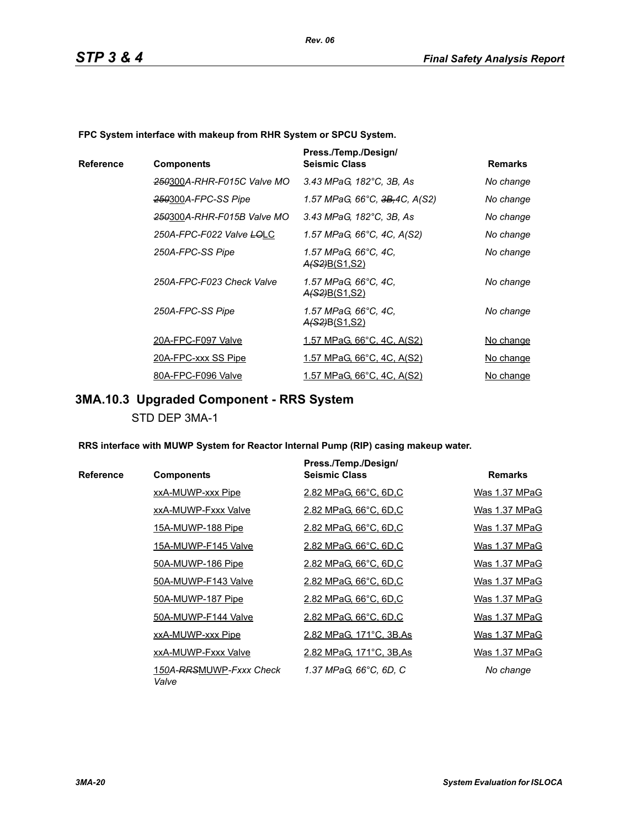**FPC System interface with makeup from RHR System or SPCU System.**

|           |                                        | Press./Temp./Design/                         |                  |
|-----------|----------------------------------------|----------------------------------------------|------------------|
| Reference | <b>Components</b>                      | <b>Seismic Class</b>                         | <b>Remarks</b>   |
|           | 250300A-RHR-F015C Valve MO             | 3.43 MPaG, 182°C, 3B, As                     | No change        |
|           | 250300A-FPC-SS Pipe                    | 1.57 MPaG, 66°C, <del>3B,</del> 4C, A(S2)    | No change        |
|           | <del>250</del> 300A-RHR-F015B Valve MO | 3.43 MPaG, 182°C, 3B, As                     | No change        |
|           | 250A-FPC-F022 Valve LOLC               | 1.57 MPaG, 66°C, 4C, A(S2)                   | No change        |
|           | 250A-FPC-SS Pipe                       | 1.57 MPaG, 66°C, 4C,<br><u>A(S2)B(S1,S2)</u> | No change        |
|           | 250A-FPC-F023 Check Valve              | 1.57 MPaG, 66°C, 4C,<br>A(S2)B(S1,S2)        | No change        |
|           | 250A-FPC-SS Pipe                       | 1.57 MPaG, 66°C, 4C,<br><u>A(S2)B(S1,S2)</u> | No change        |
|           | 20A-FPC-F097 Valve                     | <u>1.57 MPaG, 66°C, 4C, A(S2)</u>            | No change        |
|           | 20A-FPC-xxx SS Pipe                    | <u>1.57 MPaG, 66°C, 4C, A(S2)</u>            | <u>No change</u> |
|           | 80A-FPC-F096 Valve                     | 1.57 MPaG, 66°C, 4C, A(S2)                   | No change        |

# **3MA.10.3 Upgraded Component - RRS System**

STD DEP 3MA-1

**RRS interface with MUWP System for Reactor Internal Pump (RIP) casing makeup water.**

|           |                                  | Press./Temp./Design/     |                |
|-----------|----------------------------------|--------------------------|----------------|
| Reference | <b>Components</b>                | <b>Seismic Class</b>     | <b>Remarks</b> |
|           | xxA-MUWP-xxx Pipe                | 2.82 MPaG, 66°C, 6D,C    | Was 1.37 MPaG  |
|           | xxA-MUWP-Fxxx Valve              | 2.82 MPaG, 66°C, 6D,C    | Was 1.37 MPaG  |
|           | 15A-MUWP-188 Pipe                | 2.82 MPaG, 66°C, 6D,C    | Was 1.37 MPaG  |
|           | 15A-MUWP-F145 Valve              | 2.82 MPaG, 66°C, 6D,C    | Was 1.37 MPaG  |
|           | 50A-MUWP-186 Pipe                | 2.82 MPaG, 66°C, 6D,C    | Was 1.37 MPaG  |
|           | 50A-MUWP-F143 Valve              | 2.82 MPaG, 66°C, 6D,C    | Was 1.37 MPaG  |
|           | 50A-MUWP-187 Pipe                | 2.82 MPaG, 66°C, 6D,C    | Was 1.37 MPaG  |
|           | 50A-MUWP-F144 Valve              | 2.82 MPaG, 66°C, 6D,C    | Was 1.37 MPaG  |
|           | xxA-MUWP-xxx Pipe                | 2.82 MPaG, 171°C, 3B, As | Was 1.37 MPaG  |
|           | xxA-MUWP-Fxxx Valve              | 2.82 MPaG, 171°C, 3B, As | Was 1.37 MPaG  |
|           | 150A-RRSMUWP-Fxxx Check<br>Valve | 1.37 MPaG, 66°C, 6D, C   | No change      |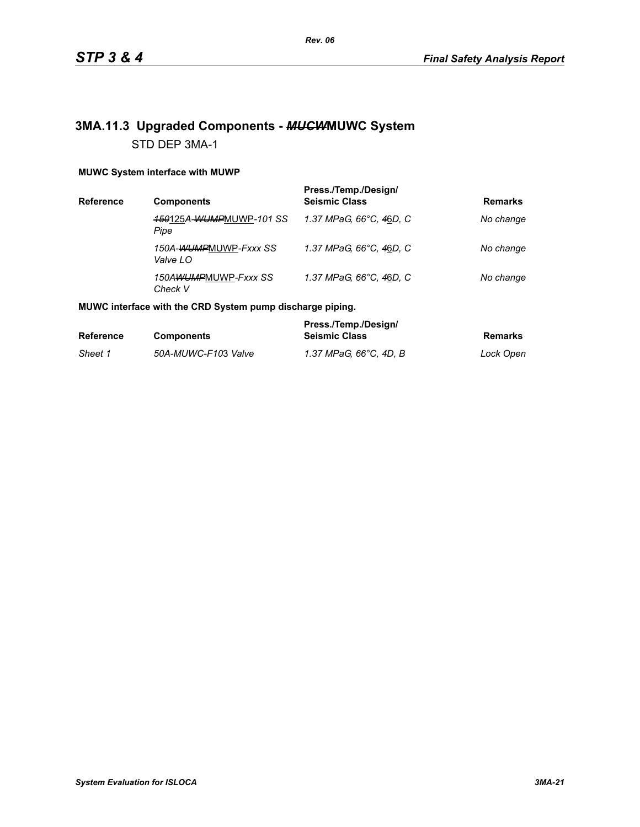# **3MA.11.3 Upgraded Components -** *MUCW***MUWC System** STD DEP 3MA-1

### **MUWC System interface with MUWP**

| Reference | <b>Components</b>                 | Press./Temp./Design/<br><b>Seismic Class</b> | <b>Remarks</b> |
|-----------|-----------------------------------|----------------------------------------------|----------------|
|           | 150125A-WUMPMUWP-101 SS<br>Pipe   | 1.37 MPaG. 66°C. 46D. C                      | No change      |
|           | 150A-WUMPMUWP-Fxxx SS<br>Valve LO | 1.37 MPaG, 66°C, 46D, C                      | No change      |
|           | 150AWUMPMUWP-Fxxx SS<br>Check V   | 1.37 MPaG, 66°C, 46D, C                      | No change      |

### **MUWC interface with the CRD System pump discharge piping.**

|                  |                     | Press./Temp./Design/   |           |
|------------------|---------------------|------------------------|-----------|
| <b>Reference</b> | <b>Components</b>   | <b>Seismic Class</b>   | Remarks   |
| Sheet 1          | 50A-MUWC-F103 Valve | 1.37 MPaG. 66°C. 4D. B | Lock Open |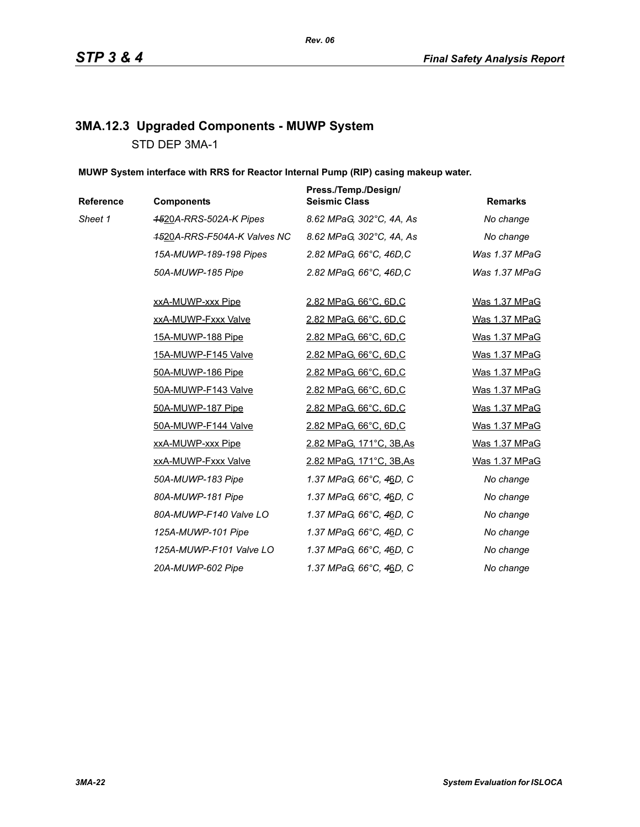# **3MA.12.3 Upgraded Components - MUWP System** STD DEP 3MA-1

**MUWP System interface with RRS for Reactor Internal Pump (RIP) casing makeup water.**

| Reference | <b>Components</b>           | Press./Temp./Design/<br><b>Seismic Class</b> | <b>Remarks</b> |
|-----------|-----------------------------|----------------------------------------------|----------------|
| Sheet 1   | 4520A-RRS-502A-K Pipes      | 8.62 MPaG, 302°C, 4A, As                     | No change      |
|           | 4520A-RRS-F504A-K Valves NC | 8.62 MPaG, 302°C, 4A, As                     | No change      |
|           | 15A-MUWP-189-198 Pipes      | 2.82 MPaG, 66°C, 46D, C                      | Was 1.37 MPaG  |
|           | 50A-MUWP-185 Pipe           | 2.82 MPaG, 66°C, 46D, C                      | Was 1.37 MPaG  |
|           | xxA-MUWP-xxx Pipe           | 2.82 MPaG, 66°C, 6D,C                        | Was 1.37 MPaG  |
|           | xxA-MUWP-Fxxx Valve         | 2.82 MPaG, 66°C, 6D,C                        | Was 1.37 MPaG  |
|           | 15A-MUWP-188 Pipe           | 2.82 MPaG, 66°C, 6D,C                        | Was 1.37 MPaG  |
|           | 15A-MUWP-F145 Valve         | 2.82 MPaG, 66°C, 6D,C                        | Was 1.37 MPaG  |
|           | 50A-MUWP-186 Pipe           | 2.82 MPaG, 66°C, 6D,C                        | Was 1.37 MPaG  |
|           | 50A-MUWP-F143 Valve         | 2.82 MPaG, 66°C, 6D,C                        | Was 1.37 MPaG  |
|           | 50A-MUWP-187 Pipe           | 2.82 MPaG, 66°C, 6D,C                        | Was 1.37 MPaG  |
|           | 50A-MUWP-F144 Valve         | 2.82 MPaG, 66°C, 6D,C                        | Was 1.37 MPaG  |
|           | xxA-MUWP-xxx Pipe           | 2.82 MPaG, 171°C, 3B, As                     | Was 1.37 MPaG  |
|           | xxA-MUWP-Fxxx Valve         | 2.82 MPaG, 171°C, 3B, As                     | Was 1.37 MPaG  |
|           | 50A-MUWP-183 Pipe           | 1.37 MPaG, 66°C, 46D, C                      | No change      |
|           | 80A-MUWP-181 Pipe           | 1.37 MPaG, 66°C, 46D, C                      | No change      |
|           | 80A-MUWP-F140 Valve LO      | 1.37 MPaG, 66°C, 46D, C                      | No change      |
|           | 125A-MUWP-101 Pipe          | 1.37 MPaG, 66°C, 46D, C                      | No change      |
|           | 125A-MUWP-F101 Valve LO     | 1.37 MPaG, 66°C, 46D, C                      | No change      |
|           | 20A-MUWP-602 Pipe           | 1.37 MPaG, 66°C, 46D, C                      | No change      |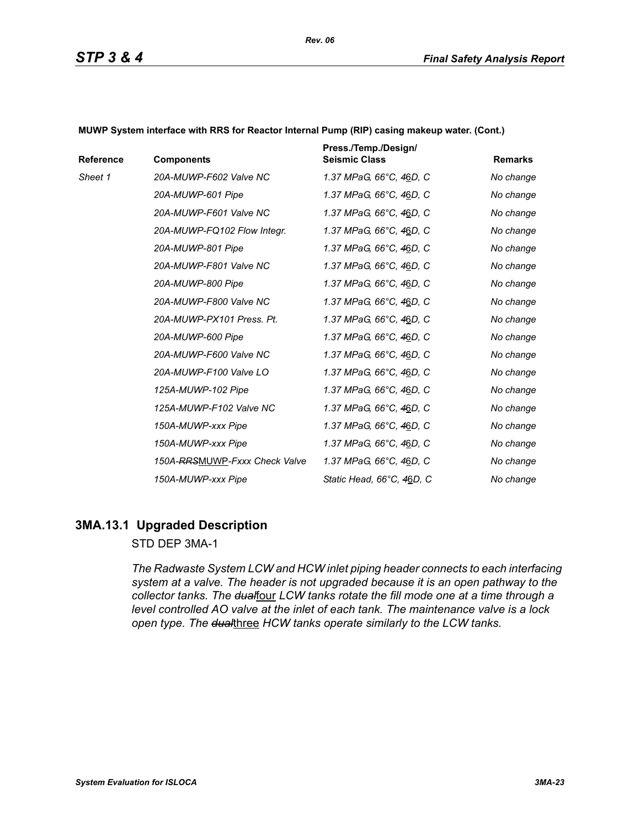| Reference | <b>Components</b>             | Press./Temp./Design/<br><b>Seismic Class</b> | <b>Remarks</b> |
|-----------|-------------------------------|----------------------------------------------|----------------|
| Sheet 1   | 20A-MUWP-F602 Valve NC        | 1.37 MPaG, 66°C, 46D, C                      | No change      |
|           | 20A-MUWP-601 Pipe             | 1.37 MPaG, 66°C, 46D, C                      | No change      |
|           | 20A-MUWP-F601 Valve NC        | 1.37 MPaG, 66°C, 46D, C                      | No change      |
|           | 20A-MUWP-FQ102 Flow Integr.   | 1.37 MPaG, 66°C, 46D, C                      | No change      |
|           | 20A-MUWP-801 Pipe             | 1.37 MPaG, 66°C, 46D, C                      | No change      |
|           | 20A-MUWP-F801 Valve NC        | 1.37 MPaG, 66°C, 46D, C                      | No change      |
|           | 20A-MUWP-800 Pipe             | 1.37 MPaG, 66°C, 46D, C                      | No change      |
|           | 20A-MUWP-F800 Valve NC        | 1.37 MPaG, 66°C, 46D, C                      | No change      |
|           | 20A-MUWP-PX101 Press, Pt.     | 1.37 MPaG, 66°C, 46D, C                      | No change      |
|           | 20A-MUWP-600 Pipe             | 1.37 MPaG, 66°C, 46D, C                      | No change      |
|           | 20A-MUWP-F600 Valve NC        | 1.37 MPaG, 66°C, 46D, C                      | No change      |
|           | 20A-MUWP-F100 Valve LO        | 1.37 MPaG, 66°C, 46D, C                      | No change      |
|           | 125A-MUWP-102 Pipe            | 1.37 MPaG, 66°C, 46D, C                      | No change      |
|           | 125A-MUWP-F102 Valve NC       | 1.37 MPaG, 66°C, 46D, C                      | No change      |
|           | 150A-MUWP-xxx Pipe            | 1.37 MPaG, 66°C, 46D, C                      | No change      |
|           | 150A-MUWP-xxx Pipe            | 1.37 MPaG, 66°C, 46D, C                      | No change      |
|           | 150A-RRSMUWP-Fxxx Check Valve | 1.37 MPaG, 66°C, 46D, C                      | No change      |
|           | 150A-MUWP-xxx Pipe            | Static Head, 66°C, 46D, C                    | No change      |

**MUWP System interface with RRS for Reactor Internal Pump (RIP) casing makeup water. (Cont.)**

# **3MA.13.1 Upgraded Description**

STD DEP 3MA-1

*The Radwaste System LCW and HCW inlet piping header connects to each interfacing system at a valve. The header is not upgraded because it is an open pathway to the*  collector tanks. The dualfour LCW tanks rotate the fill mode one at a time through a *level controlled AO valve at the inlet of each tank. The maintenance valve is a lock open type. The dual*three *HCW tanks operate similarly to the LCW tanks.*